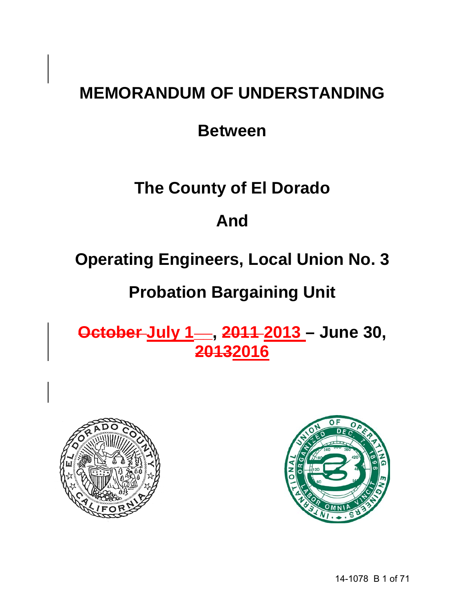# **MEMORANDUM OF UNDERSTANDING**

# **Between**

# **The County of El Dorado**

# **And**

# **Operating Engineers, Local Union No. 3**

# **Probation Bargaining Unit**

**October July 1\_\_, 2011 2013 – June 30, 20132016**





14-1078 B 1 of 71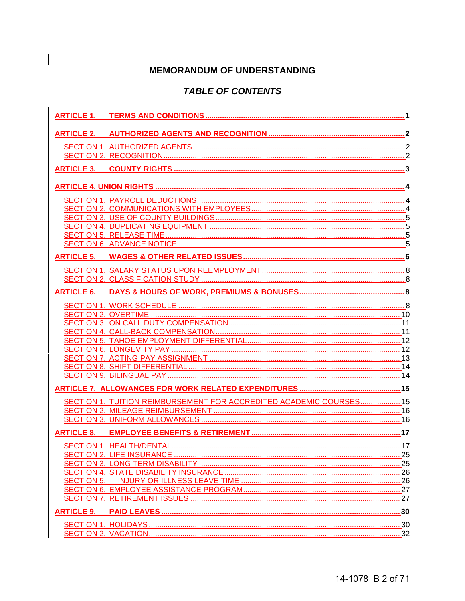# **MEMORANDUM OF UNDERSTANDING**

 $\overline{\phantom{a}}$ 

# **TABLE OF CONTENTS**

| SECTION 1. TUITION REIMBURSEMENT FOR ACCREDITED ACADEMIC COURSES 15<br>SECTION 5. |  |  |
|-----------------------------------------------------------------------------------|--|--|
|                                                                                   |  |  |
|                                                                                   |  |  |
|                                                                                   |  |  |
|                                                                                   |  |  |
|                                                                                   |  |  |
|                                                                                   |  |  |
|                                                                                   |  |  |
|                                                                                   |  |  |
|                                                                                   |  |  |
|                                                                                   |  |  |
|                                                                                   |  |  |
|                                                                                   |  |  |
|                                                                                   |  |  |
|                                                                                   |  |  |
|                                                                                   |  |  |
|                                                                                   |  |  |
|                                                                                   |  |  |
|                                                                                   |  |  |
|                                                                                   |  |  |
|                                                                                   |  |  |
|                                                                                   |  |  |
|                                                                                   |  |  |
|                                                                                   |  |  |
|                                                                                   |  |  |
|                                                                                   |  |  |
|                                                                                   |  |  |
|                                                                                   |  |  |
|                                                                                   |  |  |
|                                                                                   |  |  |
|                                                                                   |  |  |
|                                                                                   |  |  |
|                                                                                   |  |  |
|                                                                                   |  |  |
|                                                                                   |  |  |
|                                                                                   |  |  |
|                                                                                   |  |  |
|                                                                                   |  |  |
|                                                                                   |  |  |
| 32                                                                                |  |  |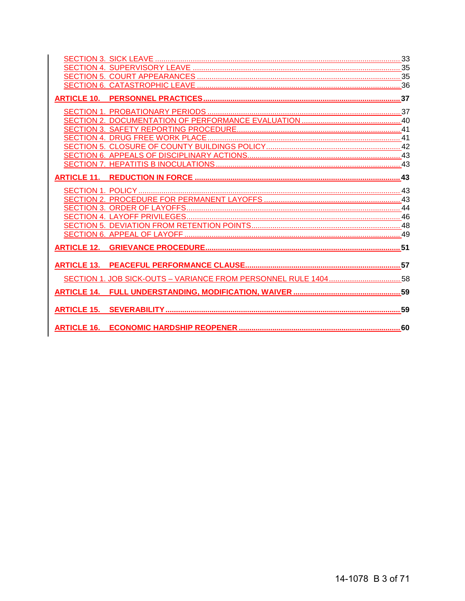|                    | SECTION 1. JOB SICK-OUTS - VARIANCE FROM PERSONNEL RULE 140458 |  |
|--------------------|----------------------------------------------------------------|--|
|                    |                                                                |  |
|                    |                                                                |  |
|                    |                                                                |  |
| <b>ARTICLE 16.</b> |                                                                |  |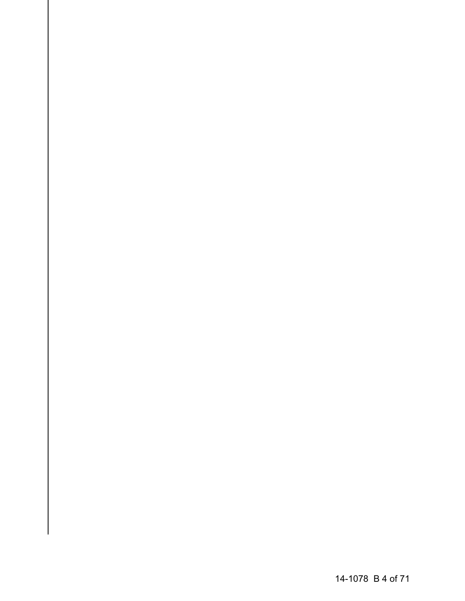14-1078 B 4 of 71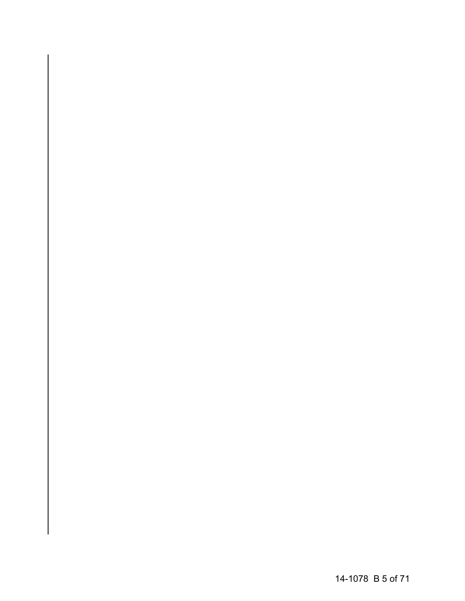14-1078 B 5 of 71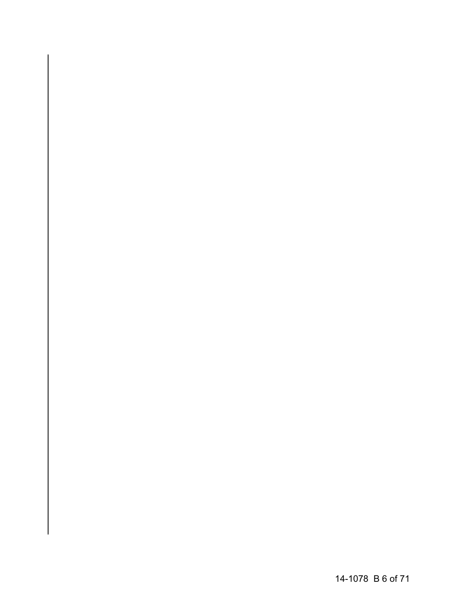14-1078 B 6 of 71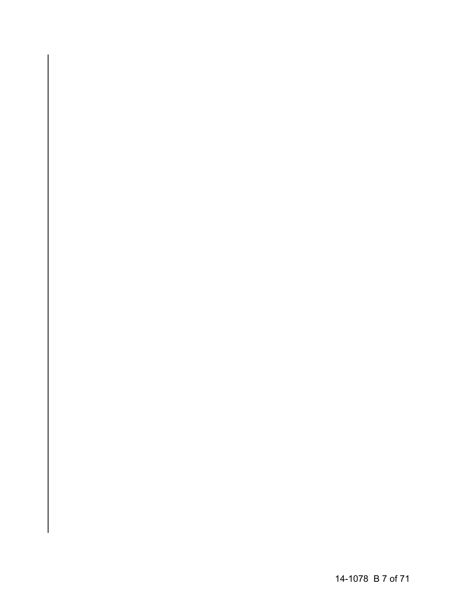14-1078 B 7 of 71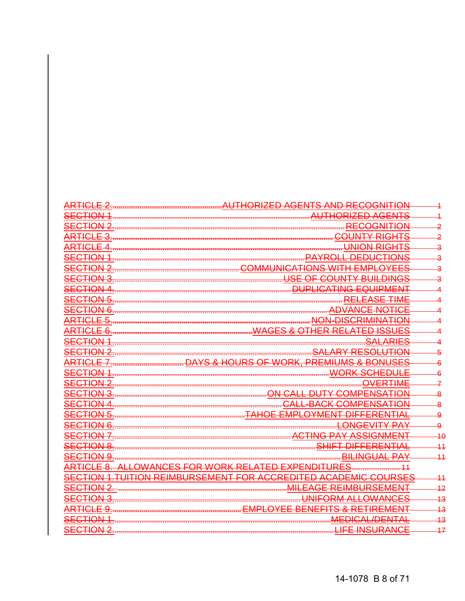| <b>ARTICLE 2</b>                  | AUTHORIZED AGENTS AND RECOGNITION                                                   |                         |
|-----------------------------------|-------------------------------------------------------------------------------------|-------------------------|
| SECTION                           | AUTHORIZED<br>ENTS<br>G                                                             |                         |
| <b>SECTION 2</b>                  | RECOGNITION                                                                         | 2                       |
| ARTICLE 3.                        | <del>COUNTY RIGHTS</del>                                                            | 2                       |
| <b>ARTIGLE</b>                    | UNION RIGHTS                                                                        | 3                       |
| SECTION                           | <b>DEDUCTIONS</b>                                                                   | з                       |
| SECTION 2                         | COMMUNICATIONS WITH<br>EMP                                                          | 3                       |
| <b>SECTION 3</b>                  | <b>JSE</b><br>BHH<br><b>DINGS</b><br>$\overline{\mathsf{QF}}$<br>COUNTY             | <del>3</del>            |
| <b>CTION</b>                      | <b>DUPLICATING</b><br><b>EQUIPMENT</b>                                              |                         |
| <b>SECTION 5.</b>                 | REL<br><b>EASE TIME</b>                                                             |                         |
| <b>CTION 6</b>                    | DVANCE                                                                              |                         |
| ARTICLE 5.                        | <b>NON-DISCRIMINATION</b>                                                           |                         |
| ARTICLE-                          | <b>OTHER REI</b><br>MAGES<br>ATED                                                   |                         |
| CTION                             | SAI<br><b>ARIES</b>                                                                 |                         |
| <b>SECTION 2</b>                  | <b>RESOLUTION</b><br>₩                                                              | 5                       |
| ARTICLE 7                         | <b>PREMIUMS &amp; BONUSES</b><br>UE <i>IVI</i> UBK                                  | 6                       |
| SECTION                           | <b>MORK</b><br><u>SCHEDI</u>                                                        | 6                       |
| SECTION                           | <b>ERTIME</b>                                                                       | z                       |
| <b>SECTION 3</b>                  | <b>OMPENSATION</b><br><del>ON CAL</del>                                             | 8                       |
| <b>SECTION</b>                    | BACK<br><b>COMPENSATION</b>                                                         | $\overline{\mathbf{8}}$ |
| <b>SECTION 5</b>                  | <b>TAHOE EMPI</b><br>$\Omega$<br><b>DIFFERENTIA</b>                                 | $\overline{9}$          |
| <b>SECTION 6</b>                  | ONGEVIT<br><b>PA</b>                                                                | $\overline{9}$          |
| <b>SECTION 7</b>                  | ACTING PAY ASSIGNMENT                                                               | $\overline{40}$         |
| $\overline{8}$<br><b>SECTION</b>  | <b>SHIF</b><br><del>DIFFERENTIA</del>                                               | 11                      |
| <b>SECTION 9</b>                  | <b>BILINGUAL</b><br><b>PAY</b>                                                      | $\overline{11}$         |
| <b>ARTICLE 8</b>                  | <b>EXPENDITURES</b><br><b>OWANCES</b><br>EOR WORK REI<br>ATED<br>$\overline{11}$    |                         |
| CTION                             | <b>ACADEMIC</b><br><b>COURSES</b><br><u>REIMRLIRSEN</u><br><b>ACCREDITED</b><br>EQR | 11                      |
| <b>SECTION 2.</b>                 | <b>MILEAGE</b><br><b>REIMBURSEMENT</b>                                              | $\overline{12}$         |
| <b>SECTION 3.</b>                 | UNIFORM ALL<br>OWANCES                                                              | 4 <sub>3</sub>          |
| <b>ARTIGLE</b><br>$\frac{9}{2}$ . | <b>OYEE BENEFITS</b><br><b>EMPL</b><br>RETIREMENT                                   | 4 <sub>3</sub>          |
| SECTION                           | <b>MEDICAL</b><br><b>/DENTAI</b>                                                    | 4 <sub>3</sub>          |
| <b>SECTION 2</b>                  | <b>LIFE INSURANCE</b>                                                               | 17                      |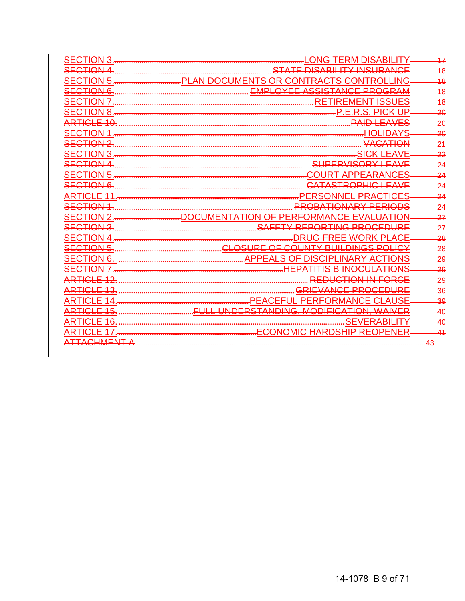| <b>SECTION 3.</b>        | <b>ONG TERM DISABILIT</b>                          | 47              |
|--------------------------|----------------------------------------------------|-----------------|
| <b>SECTION 4.</b>        | <b>DISABILITY INSURANCE</b><br>Е                   | 48              |
| SECTION 5.               | OR CONTRACTS CONTROLLING<br><u>PLAN DOCLIMENTS</u> | $\overline{18}$ |
| <b>SECTION 6.</b>        | EMPLOYEE ASSISTANCE PROGRAM                        | $\overline{48}$ |
| SECTION 7.               | <b>RETIREMENT ISSUES</b>                           | $\overline{48}$ |
| SECTION 8                | <u>P.E.R.S. PICK UP</u>                            | -20             |
| ARTICLE 10.              | <b>PAID LEAVES</b>                                 | $\overline{20}$ |
| SECTION 1                | <b>HOLIDAYS</b>                                    | $\overline{20}$ |
| SECTION 2.               | VACATION                                           | $\overline{21}$ |
| <del>SECTION 3.</del>    | <b>SICK LEAVE</b>                                  | $\overline{22}$ |
| SECTION 4.               | SUPERVISORY LEAVE                                  | $\overline{24}$ |
| SECTION 5                | <b>COURT APPEARANCES</b>                           | 24              |
| SECTION 6.               | <del>CATASTROPHIC LEAVE</del>                      | $\overline{24}$ |
| ARTICLE 11.              | <b>PERSONNEL PRACTICES</b>                         | $\overline{24}$ |
| SECTION 1.               | <b>PROBATIONARY PERIODS</b>                        | $\overline{24}$ |
| <b>SECTION 2</b>         | PERFORMANCE EVALUATION<br><b>DOCUMENTATION</b>     | 27              |
| <del>CTION 3.</del>      | SAFETY<br><b>REPORTING PROCEDURE</b>               | 27              |
| <b>SECTION</b>           | DRUG FREE WORK PL<br>.ACE                          | $\overline{28}$ |
| <b>SECTION 5.</b>        | OSURE OF COUNTY BUILDINGS POLICY                   | 28              |
| SECTION 6.               | A <del>PPEALS OF DISCIPLINARY ACTIONS</del>        | 29              |
| SECTION 7.               | HEPATITIS B INOCULATIONS                           | 29              |
| ARTICLE 12.              | <b>REDUCTION IN FORCE</b>                          | 29              |
| ARTICLE 13.              | GRIEVANCE PROCEDURE                                | 36              |
| ARTICLE 14<br><b>T47</b> | <b>PERFORMANCE CLAUSE</b><br><b>PEACEFUL</b>       | 39              |
| <del>15.</del> .         | UNDERSTANDING,<br><b>MODIFICATION,</b><br>WAIVER   | 40              |
| ARTICLE 16.              | <b>SEVERABILITY</b>                                | 40              |
| ARTICLE<br>17            | <b>ECONOMIC HARDSHIP REOPENER</b>                  | 41              |
| ATTACHMENT A             |                                                    | 43              |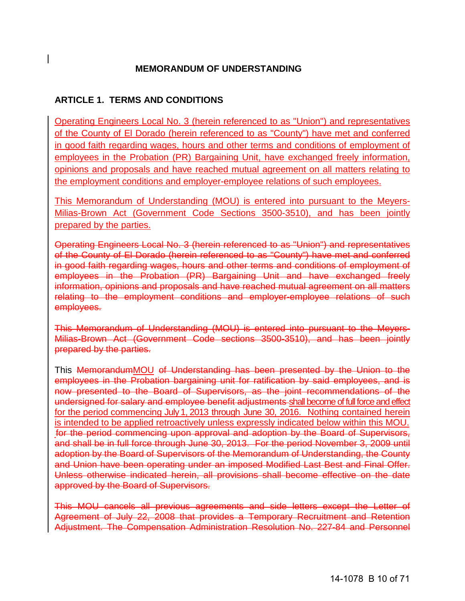# **MEMORANDUM OF UNDERSTANDING**

# <span id="page-9-0"></span>**ARTICLE 1. TERMS AND CONDITIONS**

Operating Engineers Local No. 3 (herein referenced to as "Union") and representatives of the County of El Dorado (herein referenced to as "County") have met and conferred in good faith regarding wages, hours and other terms and conditions of employment of employees in the Probation (PR) Bargaining Unit, have exchanged freely information, opinions and proposals and have reached mutual agreement on all matters relating to the employment conditions and employer-employee relations of such employees.

This Memorandum of Understanding (MOU) is entered into pursuant to the Meyers-Milias-Brown Act (Government Code Sections 3500-3510), and has been jointly prepared by the parties.

Operating Engineers Local No. 3 (herein referenced to as "Union") and representatives of the County of El Dorado (herein referenced to as "County") have met and conferred in good faith regarding wages, hours and other terms and conditions of employment of employees in the Probation (PR) Bargaining Unit and have exchanged freely information, opinions and proposals and have reached mutual agreement on all matters relating to the employment conditions and employer-employee relations of such employees.

This Memorandum of Understanding (MOU) is entered into pursuant to the Meyers-Milias-Brown Act (Government Code sections 3500-3510), and has been jointly prepared by the parties.

This MemorandumMOU of Understanding has been presented by the Union to the employees in the Probation bargaining unit for ratification by said employees, and is now presented to the Board of Supervisors, as the joint recommendations of the undersigned for salary and employee benefit adjustments shall become of full force and effect for the period commencing July 1, 2013 through June 30, 2016. Nothing contained herein is intended to be applied retroactively unless expressly indicated below within this MOU. for the period commencing upon approval and adoption by the Board of Supervisors, and shall be in full force through June 30, 2013. For the period November 3, 2009 until adoption by the Board of Supervisors of the Memorandum of Understanding, the County and Union have been operating under an imposed Modified Last Best and Final Offer. Unless otherwise indicated herein, all provisions shall become effective on the date approved by the Board of Supervisors.

This MOU cancels all previous agreements and side letters except the Letter of Agreement of July 22, 2008 that provides a Temporary Recruitment and Retention Adjustment. The Compensation Administration Resolution No. 227-84 and Personnel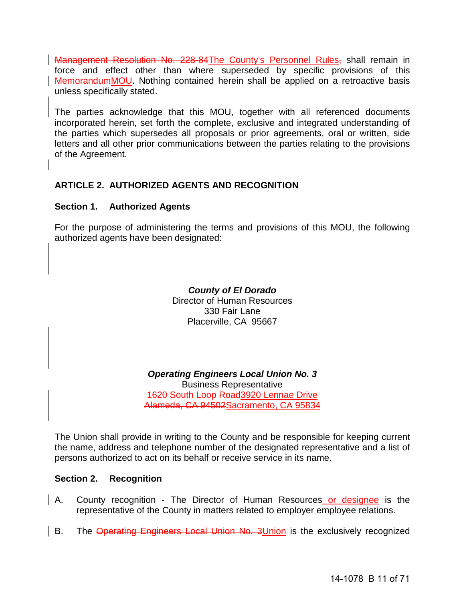Management Resolution No. 228-84The County's Personnel Rules, shall remain in force and effect other than where superseded by specific provisions of this MemorandumMOU. Nothing contained herein shall be applied on a retroactive basis unless specifically stated.

The parties acknowledge that this MOU, together with all referenced documents incorporated herein, set forth the complete, exclusive and integrated understanding of the parties which supersedes all proposals or prior agreements, oral or written, side letters and all other prior communications between the parties relating to the provisions of the Agreement.

# <span id="page-10-0"></span>**ARTICLE 2. AUTHORIZED AGENTS AND RECOGNITION**

## <span id="page-10-1"></span>**Section 1. Authorized Agents**

For the purpose of administering the terms and provisions of this MOU, the following authorized agents have been designated:

> *County of El Dorado* Director of Human Resources 330 Fair Lane Placerville, CA 95667

*Operating Engineers Local Union No. 3* Business Representative 1620 South Loop Road3920 Lennae Drive Alameda, CA 94502Sacramento, CA 95834

The Union shall provide in writing to the County and be responsible for keeping current the name, address and telephone number of the designated representative and a list of persons authorized to act on its behalf or receive service in its name.

## <span id="page-10-2"></span>**Section 2. Recognition**

- A. County recognition The Director of Human Resources or designee is the representative of the County in matters related to employer employee relations.
- B. The Operating Engineers Local Union No. 3Union is the exclusively recognized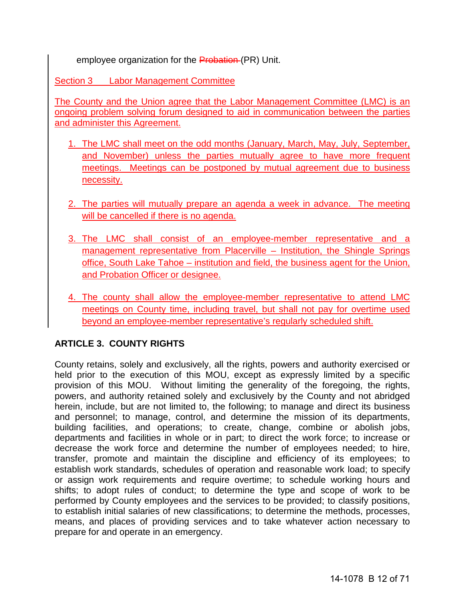employee organization for the **Probation** (PR) Unit.

Section 3 Labor Management Committee

The County and the Union agree that the Labor Management Committee (LMC) is an ongoing problem solving forum designed to aid in communication between the parties and administer this Agreement.

- 1. The LMC shall meet on the odd months (January, March, May, July, September, and November) unless the parties mutually agree to have more frequent meetings. Meetings can be postponed by mutual agreement due to business necessity.
- 2. The parties will mutually prepare an agenda a week in advance. The meeting will be cancelled if there is no agenda.
- 3. The LMC shall consist of an employee-member representative and a management representative from Placerville – Institution, the Shingle Springs office, South Lake Tahoe – institution and field, the business agent for the Union, and Probation Officer or designee.
- 4. The county shall allow the employee-member representative to attend LMC meetings on County time, including travel, but shall not pay for overtime used beyond an employee-member representative's regularly scheduled shift.

# <span id="page-11-0"></span>**ARTICLE 3. COUNTY RIGHTS**

County retains, solely and exclusively, all the rights, powers and authority exercised or held prior to the execution of this MOU, except as expressly limited by a specific provision of this MOU. Without limiting the generality of the foregoing, the rights, powers, and authority retained solely and exclusively by the County and not abridged herein, include, but are not limited to, the following; to manage and direct its business and personnel; to manage, control, and determine the mission of its departments, building facilities, and operations; to create, change, combine or abolish jobs, departments and facilities in whole or in part; to direct the work force; to increase or decrease the work force and determine the number of employees needed; to hire, transfer, promote and maintain the discipline and efficiency of its employees; to establish work standards, schedules of operation and reasonable work load; to specify or assign work requirements and require overtime; to schedule working hours and shifts; to adopt rules of conduct; to determine the type and scope of work to be performed by County employees and the services to be provided; to classify positions, to establish initial salaries of new classifications; to determine the methods, processes, means, and places of providing services and to take whatever action necessary to prepare for and operate in an emergency.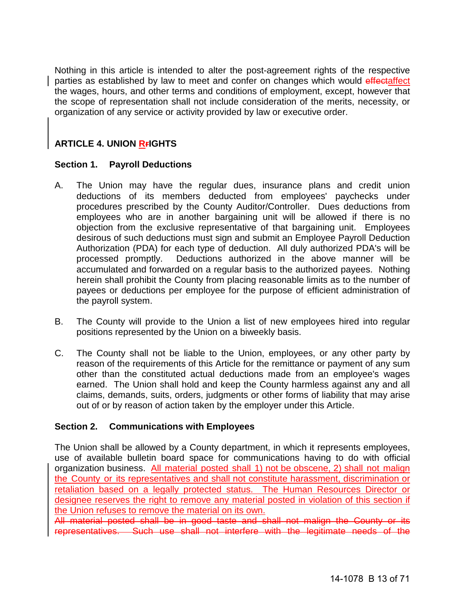Nothing in this article is intended to alter the post-agreement rights of the respective parties as established by law to meet and confer on changes which would effectaffect the wages, hours, and other terms and conditions of employment, except, however that the scope of representation shall not include consideration of the merits, necessity, or organization of any service or activity provided by law or executive order.

# <span id="page-12-0"></span>**ARTICLE 4. UNION RrIGHTS**

## <span id="page-12-1"></span>**Section 1. Payroll Deductions**

- A. The Union may have the regular dues, insurance plans and credit union deductions of its members deducted from employees' paychecks under procedures prescribed by the County Auditor/Controller. Dues deductions from employees who are in another bargaining unit will be allowed if there is no objection from the exclusive representative of that bargaining unit. Employees desirous of such deductions must sign and submit an Employee Payroll Deduction Authorization (PDA) for each type of deduction. All duly authorized PDA's will be processed promptly. Deductions authorized in the above manner will be accumulated and forwarded on a regular basis to the authorized payees. Nothing herein shall prohibit the County from placing reasonable limits as to the number of payees or deductions per employee for the purpose of efficient administration of the payroll system.
- B. The County will provide to the Union a list of new employees hired into regular positions represented by the Union on a biweekly basis.
- C. The County shall not be liable to the Union, employees, or any other party by reason of the requirements of this Article for the remittance or payment of any sum other than the constituted actual deductions made from an employee's wages earned. The Union shall hold and keep the County harmless against any and all claims, demands, suits, orders, judgments or other forms of liability that may arise out of or by reason of action taken by the employer under this Article.

## <span id="page-12-2"></span>**Section 2. Communications with Employees**

The Union shall be allowed by a County department, in which it represents employees, use of available bulletin board space for communications having to do with official organization business. All material posted shall 1) not be obscene, 2) shall not malign the County or its representatives and shall not constitute harassment, discrimination or retaliation based on a legally protected status. The Human Resources Director or designee reserves the right to remove any material posted in violation of this section if the Union refuses to remove the material on its own.

All material posted shall be in good taste and shall not malign the County or its representatives. Such use shall not interfere with the legitimate needs of the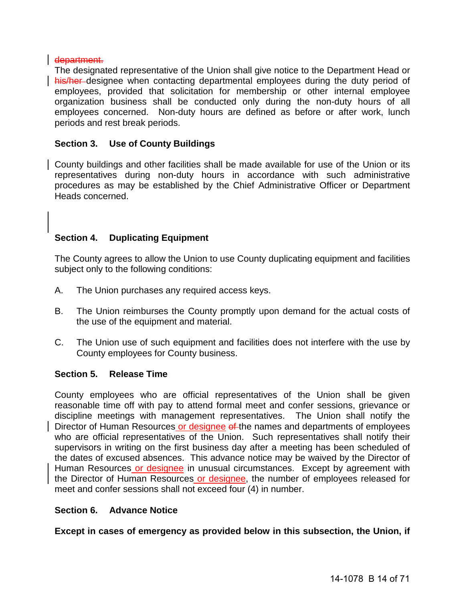#### department.

The designated representative of the Union shall give notice to the Department Head or his/her designee when contacting departmental employees during the duty period of employees, provided that solicitation for membership or other internal employee organization business shall be conducted only during the non-duty hours of all employees concerned. Non-duty hours are defined as before or after work, lunch periods and rest break periods.

#### <span id="page-13-0"></span>**Section 3. Use of County Buildings**

County buildings and other facilities shall be made available for use of the Union or its representatives during non-duty hours in accordance with such administrative procedures as may be established by the Chief Administrative Officer or Department Heads concerned.

## <span id="page-13-1"></span>**Section 4. Duplicating Equipment**

The County agrees to allow the Union to use County duplicating equipment and facilities subject only to the following conditions:

- A. The Union purchases any required access keys.
- B. The Union reimburses the County promptly upon demand for the actual costs of the use of the equipment and material.
- C. The Union use of such equipment and facilities does not interfere with the use by County employees for County business.

#### <span id="page-13-2"></span>**Section 5. Release Time**

County employees who are official representatives of the Union shall be given reasonable time off with pay to attend formal meet and confer sessions, grievance or discipline meetings with management representatives. The Union shall notify the Director of Human Resources or designee of the names and departments of employees who are official representatives of the Union. Such representatives shall notify their supervisors in writing on the first business day after a meeting has been scheduled of the dates of excused absences. This advance notice may be waived by the Director of Human Resources or designee in unusual circumstances. Except by agreement with the Director of Human Resources or designee, the number of employees released for meet and confer sessions shall not exceed four (4) in number.

#### <span id="page-13-3"></span>**Section 6. Advance Notice**

**Except in cases of emergency as provided below in this subsection, the Union, if**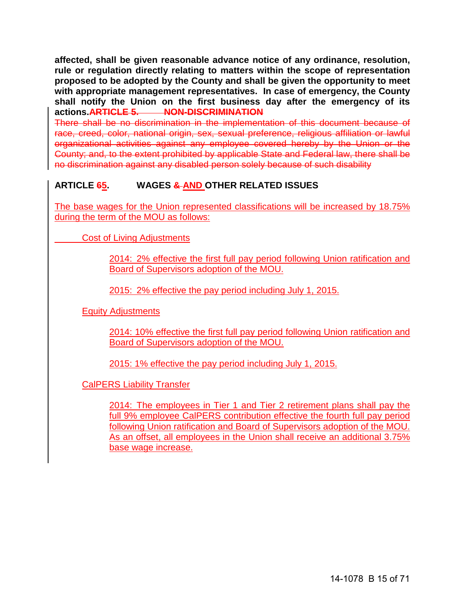**affected, shall be given reasonable advance notice of any ordinance, resolution, rule or regulation directly relating to matters within the scope of representation proposed to be adopted by the County and shall be given the opportunity to meet with appropriate management representatives. In case of emergency, the County shall notify the Union on the first business day after the emergency of its actions.ARTICLE 5. NON-DISCRIMINATION** 

There shall be no discrimination in the implementation of this document because of race, creed, color, national origin, sex, sexual preference, religious affiliation or lawful organizational activities against any employee covered hereby by the Union or the County; and, to the extent prohibited by applicable State and Federal law, there shall be no discrimination against any disabled person solely because of such disability

# <span id="page-14-0"></span>**ARTICLE 65. WAGES & AND OTHER RELATED ISSUES**

The base wages for the Union represented classifications will be increased by 18.75% during the term of the MOU as follows:

Cost of Living Adjustments

2014: 2% effective the first full pay period following Union ratification and Board of Supervisors adoption of the MOU.

2015: 2% effective the pay period including July 1, 2015.

Equity Adjustments

2014: 10% effective the first full pay period following Union ratification and Board of Supervisors adoption of the MOU.

2015: 1% effective the pay period including July 1, 2015.

CalPERS Liability Transfer

2014: The employees in Tier 1 and Tier 2 retirement plans shall pay the full 9% employee CalPERS contribution effective the fourth full pay period following Union ratification and Board of Supervisors adoption of the MOU. As an offset, all employees in the Union shall receive an additional 3.75% base wage increase.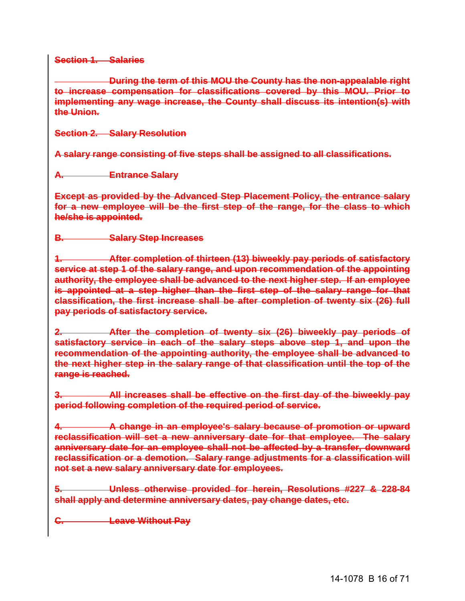**Section 1. Salaries**

**During the term of this MOU the County has the non-appealable right to increase compensation for classifications covered by this MOU. Prior to implementing any wage increase, the County shall discuss its intention(s) with the Union.**

**Section 2. Salary Resolution** 

**A salary range consisting of five steps shall be assigned to all classifications.**

**A. Entrance Salary** 

**Except as provided by the Advanced Step Placement Policy, the entrance salary for a new employee will be the first step of the range, for the class to which he/she is appointed.** 

**B. Salary Step Increases** 

**1. After completion of thirteen (13) biweekly pay periods of satisfactory service at step 1 of the salary range, and upon recommendation of the appointing authority, the employee shall be advanced to the next higher step. If an employee is appointed at a step higher than the first step of the salary range for that classification, the first increase shall be after completion of twenty six (26) full pay periods of satisfactory service.** 

**2. After the completion of twenty six (26) biweekly pay periods of satisfactory service in each of the salary steps above step 1, and upon the recommendation of the appointing authority, the employee shall be advanced to the next higher step in the salary range of that classification until the top of the range is reached.** 

**3. All increases shall be effective on the first day of the biweekly pay period following completion of the required period of service.** 

**4. A change in an employee's salary because of promotion or upward reclassification will set a new anniversary date for that employee. The salary anniversary date for an employee shall not be affected by a transfer, downward reclassification or a demotion. Salary range adjustments for a classification will not set a new salary anniversary date for employees.** 

**5. Unless otherwise provided for herein, Resolutions #227 & 228-84 shall apply and determine anniversary dates, pay change dates, etc.** 

**C. Leave Without Pay**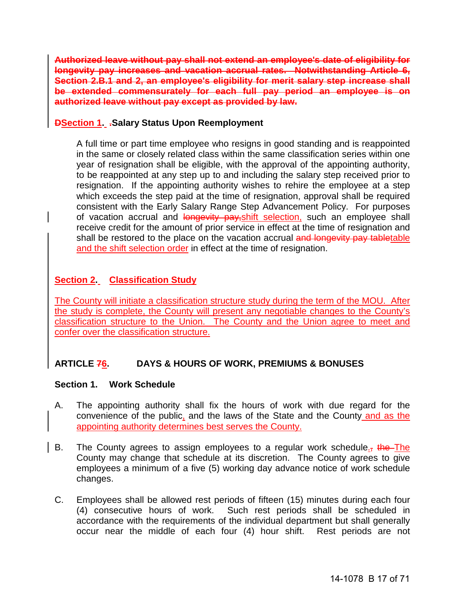**Authorized leave without pay shall not extend an employee's date of eligibility for longevity pay increases and vacation accrual rates. Notwithstanding Article 6, Section 2.B.1 and 2, an employee's eligibility for merit salary step increase shall be extended commensurately for each full pay period an employee is on authorized leave without pay except as provided by law.**

## <span id="page-16-0"></span>**DSection 1. .Salary Status Upon Reemployment**

A full time or part time employee who resigns in good standing and is reappointed in the same or closely related class within the same classification series within one year of resignation shall be eligible, with the approval of the appointing authority, to be reappointed at any step up to and including the salary step received prior to resignation. If the appointing authority wishes to rehire the employee at a step which exceeds the step paid at the time of resignation, approval shall be required consistent with the Early Salary Range Step Advancement Policy. For purposes of vacation accrual and longevity pay, shift selection, such an employee shall receive credit for the amount of prior service in effect at the time of resignation and shall be restored to the place on the vacation accrual and longevity pay tabletable and the shift selection order in effect at the time of resignation.

# <span id="page-16-1"></span>**Section 2. Classification Study**

The County will initiate a classification structure study during the term of the MOU. After the study is complete, the County will present any negotiable changes to the County's classification structure to the Union. The County and the Union agree to meet and confer over the classification structure.

# <span id="page-16-2"></span>**ARTICLE 76. DAYS & HOURS OF WORK, PREMIUMS & BONUSES**

## <span id="page-16-3"></span>**Section 1. Work Schedule**

- A. The appointing authority shall fix the hours of work with due regard for the convenience of the public, and the laws of the State and the County and as the appointing authority determines best serves the County.
- B. The County agrees to assign employees to a regular work schedule., the The County may change that schedule at its discretion. The County agrees to give employees a minimum of a five (5) working day advance notice of work schedule changes.
- C. Employees shall be allowed rest periods of fifteen (15) minutes during each four (4) consecutive hours of work. Such rest periods shall be scheduled in accordance with the requirements of the individual department but shall generally occur near the middle of each four (4) hour shift. Rest periods are not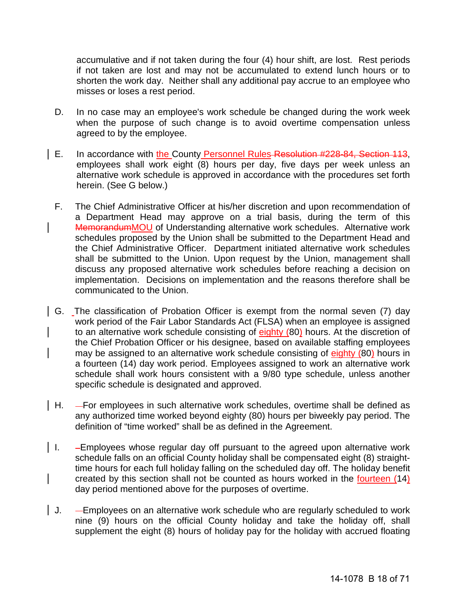accumulative and if not taken during the four (4) hour shift, are lost. Rest periods if not taken are lost and may not be accumulated to extend lunch hours or to shorten the work day. Neither shall any additional pay accrue to an employee who misses or loses a rest period.

- D. In no case may an employee's work schedule be changed during the work week when the purpose of such change is to avoid overtime compensation unless agreed to by the employee.
- E. In accordance with the County Personnel Rules Resolution #228-84, Section 113, employees shall work eight (8) hours per day, five days per week unless an alternative work schedule is approved in accordance with the procedures set forth herein. (See G below.)
- F. The Chief Administrative Officer at his/her discretion and upon recommendation of a Department Head may approve on a trial basis, during the term of this MemorandumMOU of Understanding alternative work schedules. Alternative work schedules proposed by the Union shall be submitted to the Department Head and the Chief Administrative Officer. Department initiated alternative work schedules shall be submitted to the Union. Upon request by the Union, management shall discuss any proposed alternative work schedules before reaching a decision on implementation. Decisions on implementation and the reasons therefore shall be communicated to the Union.
- G. The classification of Probation Officer is exempt from the normal seven (7) day work period of the Fair Labor Standards Act (FLSA) when an employee is assigned to an alternative work schedule consisting of eighty (80) hours. At the discretion of the Chief Probation Officer or his designee, based on available staffing employees may be assigned to an alternative work schedule consisting of eighty (80) hours in a fourteen (14) day work period. Employees assigned to work an alternative work schedule shall work hours consistent with a 9/80 type schedule, unless another specific schedule is designated and approved.
- H.  $-For$  employees in such alternative work schedules, overtime shall be defined as any authorized time worked beyond eighty (80) hours per biweekly pay period. The definition of "time worked" shall be as defined in the Agreement.
- $\parallel$  I.  $\parallel$   $\equiv$  Employees whose regular day off pursuant to the agreed upon alternative work schedule falls on an official County holiday shall be compensated eight (8) straighttime hours for each full holiday falling on the scheduled day off. The holiday benefit created by this section shall not be counted as hours worked in the fourteen (14) day period mentioned above for the purposes of overtime.
- $\vert$  J.  $\vert$  -Employees on an alternative work schedule who are regularly scheduled to work nine (9) hours on the official County holiday and take the holiday off, shall supplement the eight (8) hours of holiday pay for the holiday with accrued floating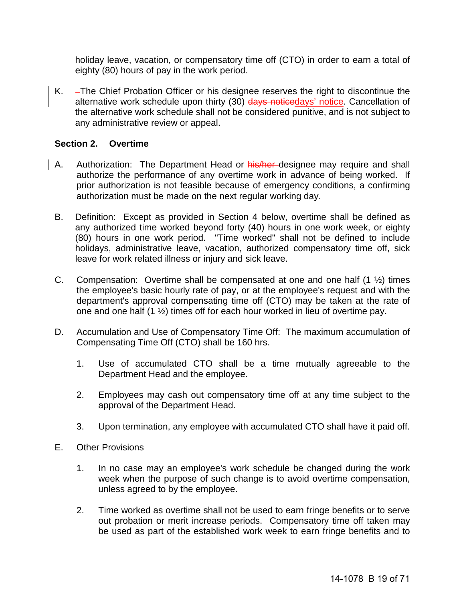holiday leave, vacation, or compensatory time off (CTO) in order to earn a total of eighty (80) hours of pay in the work period.

K. -The Chief Probation Officer or his designee reserves the right to discontinue the alternative work schedule upon thirty (30) days noticedays' notice. Cancellation of the alternative work schedule shall not be considered punitive, and is not subject to any administrative review or appeal.

## <span id="page-18-0"></span>**Section 2. Overtime**

- A. Authorization: The Department Head or his/her designee may require and shall authorize the performance of any overtime work in advance of being worked. If prior authorization is not feasible because of emergency conditions, a confirming authorization must be made on the next regular working day.
- B. Definition: Except as provided in Section 4 below, overtime shall be defined as any authorized time worked beyond forty (40) hours in one work week, or eighty (80) hours in one work period. "Time worked" shall not be defined to include holidays, administrative leave, vacation, authorized compensatory time off, sick leave for work related illness or injury and sick leave.
- C. Compensation: Overtime shall be compensated at one and one half (1 ½) times the employee's basic hourly rate of pay, or at the employee's request and with the department's approval compensating time off (CTO) may be taken at the rate of one and one half (1 ½) times off for each hour worked in lieu of overtime pay.
- D. Accumulation and Use of Compensatory Time Off: The maximum accumulation of Compensating Time Off (CTO) shall be 160 hrs.
	- 1. Use of accumulated CTO shall be a time mutually agreeable to the Department Head and the employee.
	- 2. Employees may cash out compensatory time off at any time subject to the approval of the Department Head.
	- 3. Upon termination, any employee with accumulated CTO shall have it paid off.
- E. Other Provisions
	- 1. In no case may an employee's work schedule be changed during the work week when the purpose of such change is to avoid overtime compensation, unless agreed to by the employee.
	- 2. Time worked as overtime shall not be used to earn fringe benefits or to serve out probation or merit increase periods. Compensatory time off taken may be used as part of the established work week to earn fringe benefits and to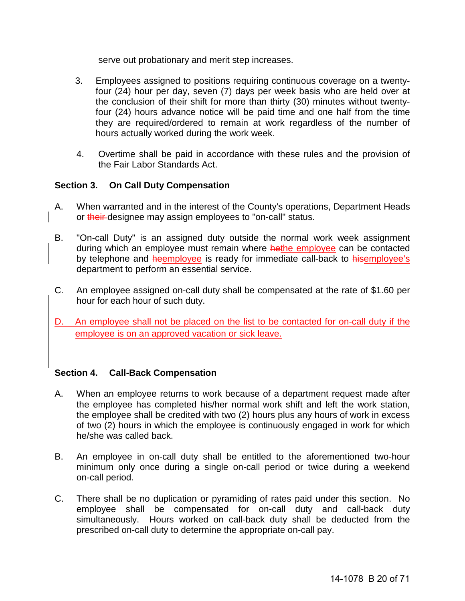serve out probationary and merit step increases.

- 3. Employees assigned to positions requiring continuous coverage on a twentyfour (24) hour per day, seven (7) days per week basis who are held over at the conclusion of their shift for more than thirty (30) minutes without twentyfour (24) hours advance notice will be paid time and one half from the time they are required/ordered to remain at work regardless of the number of hours actually worked during the work week.
- 4. Overtime shall be paid in accordance with these rules and the provision of the Fair Labor Standards Act.

## <span id="page-19-0"></span>**Section 3. On Call Duty Compensation**

- A. When warranted and in the interest of the County's operations, Department Heads or their-designee may assign employees to "on-call" status.
- B. "On-call Duty" is an assigned duty outside the normal work week assignment during which an employee must remain where hethe employee can be contacted by telephone and heemployee is ready for immediate call-back to hisemployee's department to perform an essential service.
- C. An employee assigned on-call duty shall be compensated at the rate of \$1.60 per hour for each hour of such duty.
- D. An employee shall not be placed on the list to be contacted for on-call duty if the employee is on an approved vacation or sick leave.

## <span id="page-19-1"></span>**Section 4. Call-Back Compensation**

- A. When an employee returns to work because of a department request made after the employee has completed his/her normal work shift and left the work station, the employee shall be credited with two (2) hours plus any hours of work in excess of two (2) hours in which the employee is continuously engaged in work for which he/she was called back.
- B. An employee in on-call duty shall be entitled to the aforementioned two-hour minimum only once during a single on-call period or twice during a weekend on-call period.
- C. There shall be no duplication or pyramiding of rates paid under this section. No employee shall be compensated for on-call duty and call-back duty simultaneously. Hours worked on call-back duty shall be deducted from the prescribed on-call duty to determine the appropriate on-call pay.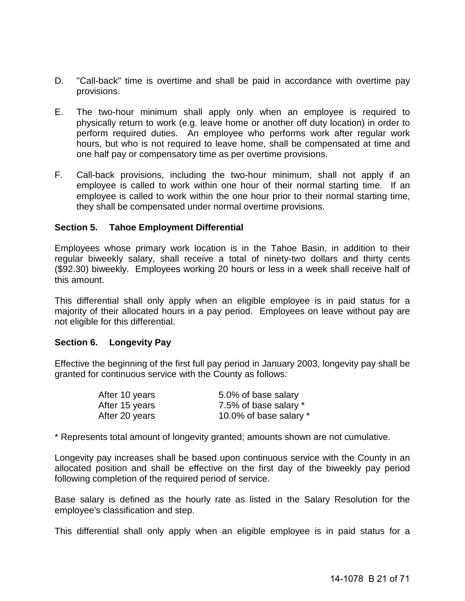- D. "Call-back" time is overtime and shall be paid in accordance with overtime pay provisions.
- E. The two-hour minimum shall apply only when an employee is required to physically return to work (e.g. leave home or another off duty location) in order to perform required duties. An employee who performs work after regular work hours, but who is not required to leave home, shall be compensated at time and one half pay or compensatory time as per overtime provisions.
- F. Call-back provisions, including the two-hour minimum, shall not apply if an employee is called to work within one hour of their normal starting time. If an employee is called to work within the one hour prior to their normal starting time, they shall be compensated under normal overtime provisions.

#### <span id="page-20-0"></span>**Section 5. Tahoe Employment Differential**

Employees whose primary work location is in the Tahoe Basin, in addition to their regular biweekly salary, shall receive a total of ninety-two dollars and thirty cents (\$92.30) biweekly. Employees working 20 hours or less in a week shall receive half of this amount.

This differential shall only apply when an eligible employee is in paid status for a majority of their allocated hours in a pay period. Employees on leave without pay are not eligible for this differential.

#### <span id="page-20-1"></span>**Section 6. Longevity Pay**

Effective the beginning of the first full pay period in January 2003, longevity pay shall be granted for continuous service with the County as follows:

| After 10 years | 5.0% of base salary    |
|----------------|------------------------|
| After 15 years | 7.5% of base salary *  |
| After 20 years | 10.0% of base salary * |

\* Represents total amount of longevity granted; amounts shown are not cumulative.

Longevity pay increases shall be based upon continuous service with the County in an allocated position and shall be effective on the first day of the biweekly pay period following completion of the required period of service.

Base salary is defined as the hourly rate as listed in the Salary Resolution for the employee's classification and step.

This differential shall only apply when an eligible employee is in paid status for a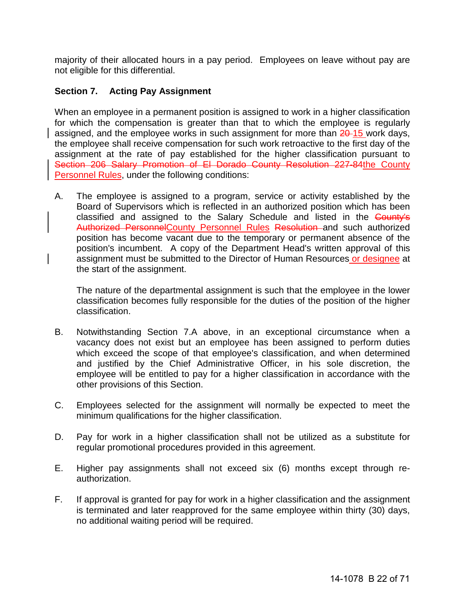majority of their allocated hours in a pay period. Employees on leave without pay are not eligible for this differential.

## <span id="page-21-0"></span>**Section 7. Acting Pay Assignment**

When an employee in a permanent position is assigned to work in a higher classification for which the compensation is greater than that to which the employee is regularly assigned, and the employee works in such assignment for more than 20-15 work days, the employee shall receive compensation for such work retroactive to the first day of the assignment at the rate of pay established for the higher classification pursuant to Section 206 Salary Promotion of El Dorado County Resolution 227-84the County Personnel Rules, under the following conditions:

A. The employee is assigned to a program, service or activity established by the Board of Supervisors which is reflected in an authorized position which has been classified and assigned to the Salary Schedule and listed in the County's Authorized PersonnelCounty Personnel Rules Resolution and such authorized position has become vacant due to the temporary or permanent absence of the position's incumbent. A copy of the Department Head's written approval of this assignment must be submitted to the Director of Human Resources or designee at the start of the assignment.

The nature of the departmental assignment is such that the employee in the lower classification becomes fully responsible for the duties of the position of the higher classification.

- B. Notwithstanding Section 7.A above, in an exceptional circumstance when a vacancy does not exist but an employee has been assigned to perform duties which exceed the scope of that employee's classification, and when determined and justified by the Chief Administrative Officer, in his sole discretion, the employee will be entitled to pay for a higher classification in accordance with the other provisions of this Section.
- C. Employees selected for the assignment will normally be expected to meet the minimum qualifications for the higher classification.
- D. Pay for work in a higher classification shall not be utilized as a substitute for regular promotional procedures provided in this agreement.
- E. Higher pay assignments shall not exceed six (6) months except through reauthorization.
- F. If approval is granted for pay for work in a higher classification and the assignment is terminated and later reapproved for the same employee within thirty (30) days, no additional waiting period will be required.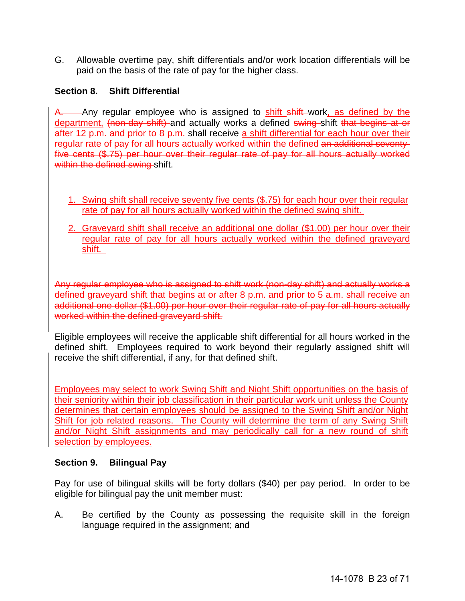G. Allowable overtime pay, shift differentials and/or work location differentials will be paid on the basis of the rate of pay for the higher class.

## <span id="page-22-0"></span>**Section 8. Shift Differential**

A. Any regular employee who is assigned to shift shift work, as defined by the department, (non-day shift) and actually works a defined swing shift that begins at or after 12 p.m. and prior to 8 p.m. shall receive a shift differential for each hour over their regular rate of pay for all hours actually worked within the defined an additional seventyfive cents (\$.75) per hour over their regular rate of pay for all hours actually worked within the defined swing shift.

- 1. Swing shift shall receive seventy five cents (\$.75) for each hour over their regular rate of pay for all hours actually worked within the defined swing shift.
- 2. Graveyard shift shall receive an additional one dollar (\$1.00) per hour over their regular rate of pay for all hours actually worked within the defined graveyard shift.

Any regular employee who is assigned to shift work (non-day shift) and actually works a defined graveyard shift that begins at or after 8 p.m. and prior to 5 a.m. shall receive an additional one dollar (\$1.00) per hour over their regular rate of pay for all hours actually worked within the defined graveyard shift.

Eligible employees will receive the applicable shift differential for all hours worked in the defined shift. Employees required to work beyond their regularly assigned shift will receive the shift differential, if any, for that defined shift.

Employees may select to work Swing Shift and Night Shift opportunities on the basis of their seniority within their job classification in their particular work unit unless the County determines that certain employees should be assigned to the Swing Shift and/or Night Shift for job related reasons. The County will determine the term of any Swing Shift and/or Night Shift assignments and may periodically call for a new round of shift selection by employees.

## <span id="page-22-1"></span>**Section 9. Bilingual Pay**

Pay for use of bilingual skills will be forty dollars (\$40) per pay period. In order to be eligible for bilingual pay the unit member must:

A. Be certified by the County as possessing the requisite skill in the foreign language required in the assignment; and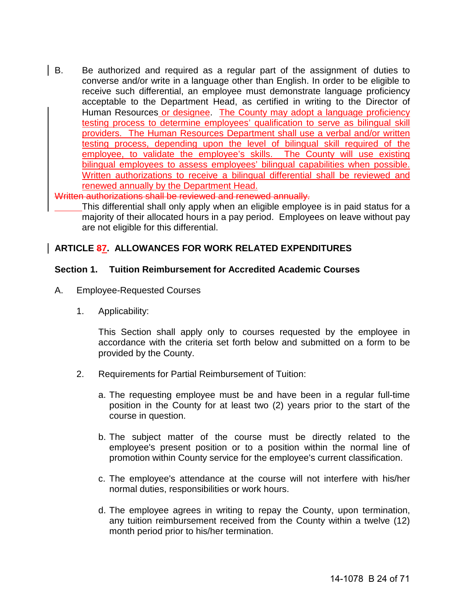B. Be authorized and required as a regular part of the assignment of duties to converse and/or write in a language other than English. In order to be eligible to receive such differential, an employee must demonstrate language proficiency acceptable to the Department Head, as certified in writing to the Director of Human Resources or designee. The County may adopt a language proficiency testing process to determine employees' qualification to serve as bilingual skill providers. The Human Resources Department shall use a verbal and/or written testing process, depending upon the level of bilingual skill required of the employee, to validate the employee's skills. The County will use existing bilingual employees to assess employees' bilingual capabilities when possible. Written authorizations to receive a bilingual differential shall be reviewed and renewed annually by the Department Head.

Written authorizations shall be reviewed and renewed annually.

This differential shall only apply when an eligible employee is in paid status for a majority of their allocated hours in a pay period. Employees on leave without pay are not eligible for this differential.

## <span id="page-23-0"></span>**ARTICLE 87. ALLOWANCES FOR WORK RELATED EXPENDITURES**

## <span id="page-23-1"></span>**Section 1. Tuition Reimbursement for Accredited Academic Courses**

- A. Employee-Requested Courses
	- 1. Applicability:

This Section shall apply only to courses requested by the employee in accordance with the criteria set forth below and submitted on a form to be provided by the County.

- 2. Requirements for Partial Reimbursement of Tuition:
	- a. The requesting employee must be and have been in a regular full-time position in the County for at least two (2) years prior to the start of the course in question.
	- b. The subject matter of the course must be directly related to the employee's present position or to a position within the normal line of promotion within County service for the employee's current classification.
	- c. The employee's attendance at the course will not interfere with his/her normal duties, responsibilities or work hours.
	- d. The employee agrees in writing to repay the County, upon termination, any tuition reimbursement received from the County within a twelve (12) month period prior to his/her termination.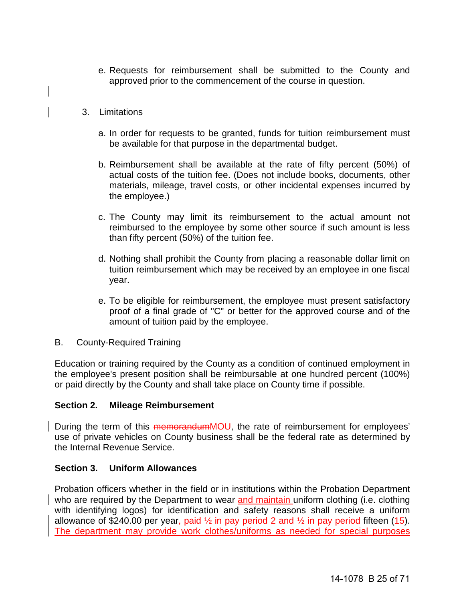- e. Requests for reimbursement shall be submitted to the County and approved prior to the commencement of the course in question.
- 3. Limitations
	- a. In order for requests to be granted, funds for tuition reimbursement must be available for that purpose in the departmental budget.
	- b. Reimbursement shall be available at the rate of fifty percent (50%) of actual costs of the tuition fee. (Does not include books, documents, other materials, mileage, travel costs, or other incidental expenses incurred by the employee.)
	- c. The County may limit its reimbursement to the actual amount not reimbursed to the employee by some other source if such amount is less than fifty percent (50%) of the tuition fee.
	- d. Nothing shall prohibit the County from placing a reasonable dollar limit on tuition reimbursement which may be received by an employee in one fiscal year.
	- e. To be eligible for reimbursement, the employee must present satisfactory proof of a final grade of "C" or better for the approved course and of the amount of tuition paid by the employee.
- B. County-Required Training

Education or training required by the County as a condition of continued employment in the employee's present position shall be reimbursable at one hundred percent (100%) or paid directly by the County and shall take place on County time if possible.

## <span id="page-24-0"></span>**Section 2. Mileage Reimbursement**

During the term of this memorandumMOU, the rate of reimbursement for employees' use of private vehicles on County business shall be the federal rate as determined by the Internal Revenue Service.

## <span id="page-24-1"></span>**Section 3. Uniform Allowances**

Probation officers whether in the field or in institutions within the Probation Department who are required by the Department to wear and maintain uniform clothing (i.e. clothing with identifying logos) for identification and safety reasons shall receive a uniform allowance of \$240.00 per year, paid  $\frac{1}{2}$  in pay period 2 and  $\frac{1}{2}$  in pay period fifteen (15). The department may provide work clothes/uniforms as needed for special purposes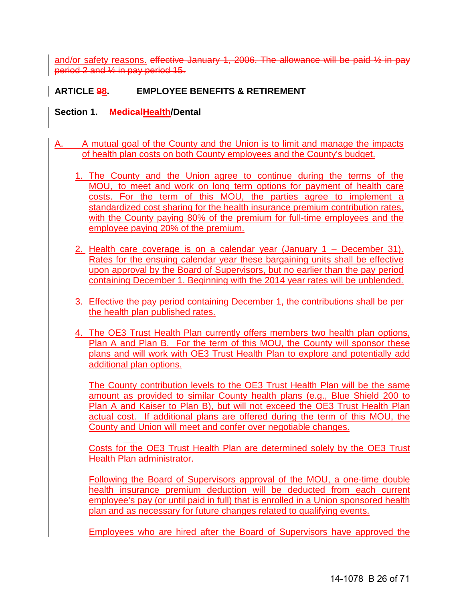and/or safety reasons. effective January 1, 2006. The allowance will be paid ½ in pay period 2 and ½ in pay period 15.

## <span id="page-25-0"></span>**ARTICLE 98. EMPLOYEE BENEFITS & RETIREMENT**

## <span id="page-25-1"></span>**Section 1. MedicalHealth/Dental**

- A. A mutual goal of the County and the Union is to limit and manage the impacts of health plan costs on both County employees and the County's budget.
	- 1. The County and the Union agree to continue during the terms of the MOU, to meet and work on long term options for payment of health care costs. For the term of this MOU, the parties agree to implement a standardized cost sharing for the health insurance premium contribution rates, with the County paying 80% of the premium for full-time employees and the employee paying 20% of the premium.
	- 2. Health care coverage is on a calendar year (January 1 December 31). Rates for the ensuing calendar year these bargaining units shall be effective upon approval by the Board of Supervisors, but no earlier than the pay period containing December 1. Beginning with the 2014 year rates will be unblended.
	- 3. Effective the pay period containing December 1, the contributions shall be per the health plan published rates.
	- 4. The OE3 Trust Health Plan currently offers members two health plan options, Plan A and Plan B. For the term of this MOU, the County will sponsor these plans and will work with OE3 Trust Health Plan to explore and potentially add additional plan options.

The County contribution levels to the OE3 Trust Health Plan will be the same amount as provided to similar County health plans (e.g., Blue Shield 200 to Plan A and Kaiser to Plan B), but will not exceed the OE3 Trust Health Plan actual cost. If additional plans are offered during the term of this MOU, the County and Union will meet and confer over negotiable changes.

l, Costs for the OE3 Trust Health Plan are determined solely by the OE3 Trust Health Plan administrator.

Following the Board of Supervisors approval of the MOU, a one-time double health insurance premium deduction will be deducted from each current employee's pay (or until paid in full) that is enrolled in a Union sponsored health plan and as necessary for future changes related to qualifying events.

Employees who are hired after the Board of Supervisors have approved the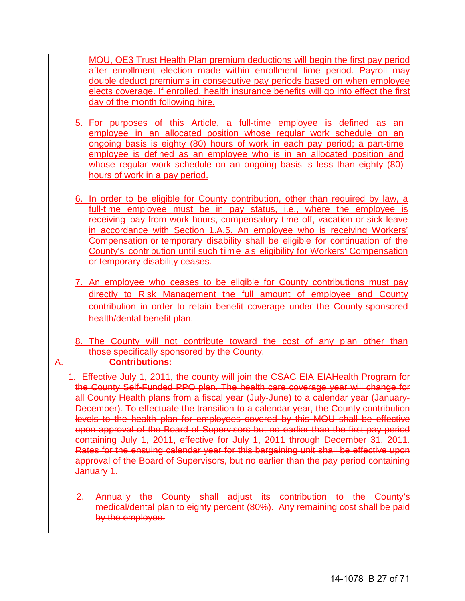MOU, OE3 Trust Health Plan premium deductions will begin the first pay period after enrollment election made within enrollment time period. Payroll may double deduct premiums in consecutive pay periods based on when employee elects coverage. If enrolled, health insurance benefits will go into effect the first day of the month following hire.

- 5. For purposes of this Article, a full-time employee is defined as an employee in an allocated position whose regular work schedule on an ongoing basis is eighty (80) hours of work in each pay period; a part-time employee is defined as an employee who is in an allocated position and whose regular work schedule on an ongoing basis is less than eighty (80) hours of work in a pay period.
- 6. In order to be eligible for County contribution, other than required by law, a full-time employee must be in pay status, i.e., where the employee is receiving pay from work hours, compensatory time off, vacation or sick leave in accordance with Section 1.A.5. An employee who is receiving Workers' Compensation or temporary disability shall be eligible for continuation of the County's contribution until such time as eligibility for Workers' Compensation or temporary disability ceases.
- 7. An employee who ceases to be eligible for County contributions must pay directly to Risk Management the full amount of employee and County contribution in order to retain benefit coverage under the County-sponsored health/dental benefit plan.
- 8. The County will not contribute toward the cost of any plan other than those specifically sponsored by the County.

#### A. **Contributions:**

- 1. Effective July 1, 2011, the county will join the CSAC EIA EIAHealth Program for the County Self-Funded PPO plan. The health care coverage year will change for all County Health plans from a fiscal year (July-June) to a calendar year (January-December). To effectuate the transition to a calendar year, the County contribution levels to the health plan for employees covered by this MOU shall be effective upon approval of the Board of Supervisors but no earlier than the first pay period containing July 1, 2011, effective for July 1, 2011 through December 31, 2011. Rates for the ensuing calendar year for this bargaining unit shall be effective upon approval of the Board of Supervisors, but no earlier than the pay period containing January 1.
	- 2. Annually the County shall adjust its contribution to the County's medical/dental plan to eighty percent (80%). Any remaining cost shall be paid by the employee.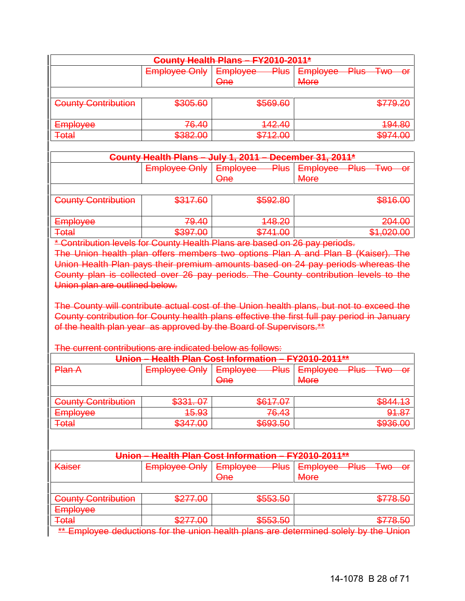| County Health Plans - FY2010-2011* |                      |                                                            |             |  |  |  |
|------------------------------------|----------------------|------------------------------------------------------------|-------------|--|--|--|
|                                    | <b>Employee Only</b> | <del>Plus</del><br>$-$ Plus<br><b>Employee</b><br>Employee |             |  |  |  |
|                                    |                      | <del>One</del>                                             | <b>More</b> |  |  |  |
|                                    |                      |                                                            |             |  |  |  |
| <b>County Contribution</b>         | \$305.60             | \$569.60                                                   | \$779.20    |  |  |  |
|                                    |                      |                                                            |             |  |  |  |
| <b>Employee</b>                    | 76.40                | 142.40                                                     | 494.80      |  |  |  |
| <b>Total</b>                       | \$382.00             | \$712.00                                                   | \$974.00    |  |  |  |

| County Health Plans - July 1, 2011 - December 31, 2011* |                      |                                                 |                                              |  |  |  |  |
|---------------------------------------------------------|----------------------|-------------------------------------------------|----------------------------------------------|--|--|--|--|
|                                                         | <b>Employee Only</b> | <b>Plus</b><br><b>Employee</b>                  | <b>Plus</b><br>Employee<br><del>Two or</del> |  |  |  |  |
|                                                         |                      | One                                             | More                                         |  |  |  |  |
|                                                         |                      |                                                 |                                              |  |  |  |  |
| <b>County Contribution</b>                              | \$317.60             | \$592.80                                        | \$816.00                                     |  |  |  |  |
|                                                         |                      |                                                 |                                              |  |  |  |  |
| <b>Employee</b>                                         | <del>79.40</del>     | 148.20                                          | 204.00                                       |  |  |  |  |
| <b>Total</b>                                            | \$397.00             | <b>ድ7<i>ለ</i>1 ∩∩</b><br><del>,,,,,,,,,,,</del> | <del>\$1,020.00</del>                        |  |  |  |  |

\* Contribution levels for County Health Plans are based on 26 pay periods.

The Union health plan offers members two options Plan A and Plan B (Kaiser). The Union Health Plan pays their premium amounts based on 24 pay periods whereas the County plan is collected over 26 pay periods. The County contribution levels to the Union plan are outlined below.

The County will contribute actual cost of the Union health plans, but not to exceed the County contribution for County health plans effective the first full pay period in January of the health plan year as approved by the Board of Supervisors.\*\*

The current contributions are indicated below as follows:

| Union - Health Plan Cost Information - FY2010-2011** |               |                                    |             |                                      |  |  |
|------------------------------------------------------|---------------|------------------------------------|-------------|--------------------------------------|--|--|
| Plan A                                               | Employee Only | <del>Plus</del><br><b>Employee</b> | Employee    | <del>Plus</del><br><del>Two or</del> |  |  |
|                                                      |               | One                                | <b>More</b> |                                      |  |  |
|                                                      |               |                                    |             |                                      |  |  |
| <b>County Contribution</b>                           | \$331.07      | \$617.07                           |             | \$844.13                             |  |  |
| Employee                                             | <b>45.93</b>  | 76.43                              |             | 91.87                                |  |  |
| <b>Total</b>                                         | \$347.00      | \$693.50                           |             | \$936.00                             |  |  |

| <u> Union – Health Plan Cost Information – FY2010-2011**</u> |                                       |                                |                                              |  |  |  |  |
|--------------------------------------------------------------|---------------------------------------|--------------------------------|----------------------------------------------|--|--|--|--|
| <b>Kaiser</b>                                                | Employee Only                         | <b>Plus</b><br><b>Employee</b> | <b>Plus</b><br><del>Two or</del><br>Employee |  |  |  |  |
|                                                              |                                       | <del>One</del>                 | <b>More</b>                                  |  |  |  |  |
|                                                              |                                       |                                |                                              |  |  |  |  |
| <b>County Contribution</b>                                   | \$277.00                              | \$553.50                       | \$778.50                                     |  |  |  |  |
| Employee<br><del>Ellipiovoc</del>                            |                                       |                                |                                              |  |  |  |  |
| <del>Total</del>                                             | <b>¢ኅ77 ∩∩</b><br><del>az 17.uu</del> | \$553.50                       | \$778.50                                     |  |  |  |  |

\*\* Employee deductions for the union health plans are determined solely by the Union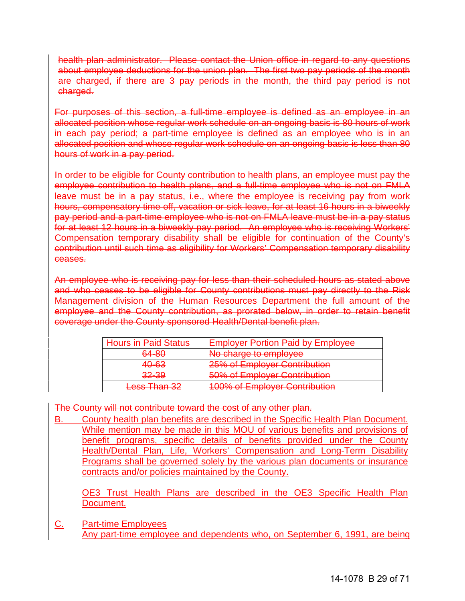health plan administrator. Please contact the Union office in regard to any questions about employee deductions for the union plan. The first two pay periods of the month are charged, if there are 3 pay periods in the month, the third pay period is not charged.

For purposes of this section, a full-time employee is defined as an employee in an allocated position whose regular work schedule on an ongoing basis is 80 hours of work in each pay period; a part-time employee is defined as an employee who is in an allocated position and whose regular work schedule on an ongoing basis is less than 80 hours of work in a pay period.

In order to be eligible for County contribution to health plans, an employee must pay the employee contribution to health plans, and a full-time employee who is not on FMLA leave must be in a pay status, i.e., where the employee is receiving pay from work hours, compensatory time off, vacation or sick leave, for at least 16 hours in a biweekly pay period and a part-time employee who is not on FMLA leave must be in a pay status for at least 12 hours in a biweekly pay period. An employee who is receiving Workers' Compensation temporary disability shall be eligible for continuation of the County's contribution until such time as eligibility for Workers' Compensation temporary disability ceases.

An employee who is receiving pay for less than their scheduled hours as stated above and who ceases to be eligible for County contributions must pay directly to the Risk Management division of the Human Resources Department the full amount of the employee and the County contribution, as prorated below, in order to retain benefit coverage under the County sponsored Health/Dental benefit plan.

| <b>Hours in Paid Status</b>              | <b>Employer Portion Paid by Employee</b>                                 |
|------------------------------------------|--------------------------------------------------------------------------|
| 64-80                                    | No charge to employee                                                    |
| 40-63                                    | 25% of Employer Contribution                                             |
| 32-39                                    | 50% of Employer Contribution                                             |
| l acc Than 32.<br><del>Loos man oz</del> | 100% of Employer Contribution<br><del>roo ⁄a or Employer Continuum</del> |

The County will not contribute toward the cost of any other plan.

B. County health plan benefits are described in the Specific Health Plan Document. While mention may be made in this MOU of various benefits and provisions of benefit programs, specific details of benefits provided under the County Health/Dental Plan, Life, Workers' Compensation and Long-Term Disability Programs shall be governed solely by the various plan documents or insurance contracts and/or policies maintained by the County.

OE3 Trust Health Plans are described in the OE3 Specific Health Plan Document.

C. Part-time Employees Any part-time employee and dependents who, on September 6, 1991, are being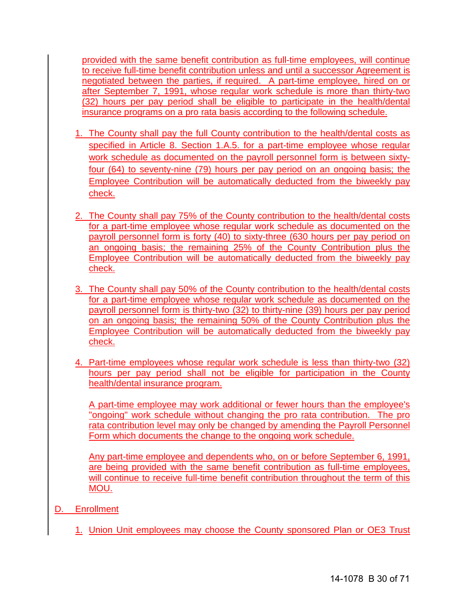provided with the same benefit contribution as full-time employees, will continue to receive full-time benefit contribution unless and until a successor Agreement is negotiated between the parties, if required. A part-time employee, hired on or after September 7, 1991, whose regular work schedule is more than thirty-two (32) hours per pay period shall be eligible to participate in the health/dental insurance programs on a pro rata basis according to the following schedule.

- 1. The County shall pay the full County contribution to the health/dental costs as specified in Article 8. Section 1.A.5. for a part-time employee whose regular work schedule as documented on the payroll personnel form is between sixtyfour (64) to seventy-nine (79) hours per pay period on an ongoing basis; the Employee Contribution will be automatically deducted from the biweekly pay check.
- 2. The County shall pay 75% of the County contribution to the health/dental costs for a part-time employee whose regular work schedule as documented on the payroll personnel form is forty (40) to sixty-three (630 hours per pay period on an ongoing basis; the remaining 25% of the County Contribution plus the Employee Contribution will be automatically deducted from the biweekly pay check.
- 3. The County shall pay 50% of the County contribution to the health/dental costs for a part-time employee whose regular work schedule as documented on the payroll personnel form is thirty-two (32) to thirty-nine (39) hours per pay period on an ongoing basis; the remaining 50% of the County Contribution plus the Employee Contribution will be automatically deducted from the biweekly pay check.
- 4. Part-time employees whose regular work schedule is less than thirty-two (32) hours per pay period shall not be eligible for participation in the County health/dental insurance program.

A part-time employee may work additional or fewer hours than the employee's "ongoing" work schedule without changing the pro rata contribution. The pro rata contribution level may only be changed by amending the Payroll Personnel Form which documents the change to the ongoing work schedule.

Any part-time employee and dependents who, on or before September 6, 1991, are being provided with the same benefit contribution as full-time employees, will continue to receive full-time benefit contribution throughout the term of this MOU.

- D. Enrollment
	- 1. Union Unit employees may choose the County sponsored Plan or OE3 Trust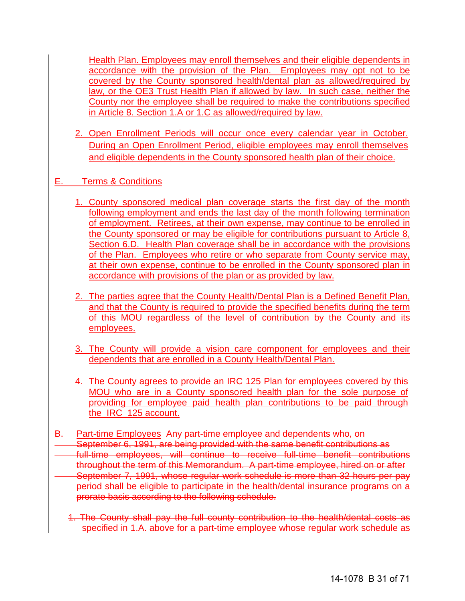Health Plan. Employees may enroll themselves and their eligible dependents in accordance with the provision of the Plan. Employees may opt not to be covered by the County sponsored health/dental plan as allowed/required by law, or the OE3 Trust Health Plan if allowed by law. In such case, neither the County nor the employee shall be required to make the contributions specified in Article 8. Section 1.A or 1.C as allowed/required by law.

- 2. Open Enrollment Periods will occur once every calendar year in October. During an Open Enrollment Period, eligible employees may enroll themselves and eligible dependents in the County sponsored health plan of their choice.
- E. Terms & Conditions
	- 1. County sponsored medical plan coverage starts the first day of the month following employment and ends the last day of the month following termination of employment. Retirees, at their own expense, may continue to be enrolled in the County sponsored or may be eligible for contributions pursuant to Article 8, Section 6.D. Health Plan coverage shall be in accordance with the provisions of the Plan. Employees who retire or who separate from County service may, at their own expense, continue to be enrolled in the County sponsored plan in accordance with provisions of the plan or as provided by law.
	- 2. The parties agree that the County Health/Dental Plan is a Defined Benefit Plan, and that the County is required to provide the specified benefits during the term of this MOU regardless of the level of contribution by the County and its employees.
	- 3. The County will provide a vision care component for employees and their dependents that are enrolled in a County Health/Dental Plan.
	- 4. The County agrees to provide an IRC 125 Plan for employees covered by this MOU who are in a County sponsored health plan for the sole purpose of providing for employee paid health plan contributions to be paid through the IRC 125 account.
- B. Part-time Employees Any part-time employee and dependents who, on September 6, 1991, are being provided with the same benefit contributions as full-time employees, will continue to receive full-time benefit contributions throughout the term of this Memorandum. A part-time employee, hired on or after September 7, 1991, whose regular work schedule is more than 32 hours per pay period shall be eligible to participate in the health/dental insurance programs on a prorate basis according to the following schedule.
	- 1. The County shall pay the full county contribution to the health/dental costs as specified in 1.A. above for a part-time employee whose regular work schedule as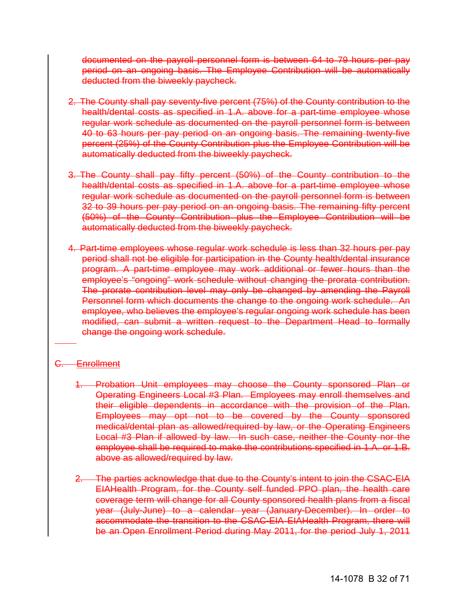documented on the payroll personnel form is between 64 to 79 hours per pay period on an ongoing basis. The Employee Contribution will be automatically deducted from the biweekly paycheck.

- 2. The County shall pay seventy-five percent (75%) of the County contribution to the health/dental costs as specified in 1.A. above for a part-time employee whose regular work schedule as documented on the payroll personnel form is between 40 to 63 hours per pay period on an ongoing basis. The remaining twenty-five percent (25%) of the County Contribution plus the Employee Contribution will be automatically deducted from the biweekly paycheck.
- 3. The County shall pay fifty percent (50%) of the County contribution to the health/dental costs as specified in 1.A. above for a part-time employee whose regular work schedule as documented on the payroll personnel form is between 32 to 39 hours per pay period on an ongoing basis. The remaining fifty percent (50%) of the County Contribution plus the Employee Contribution will be automatically deducted from the biweekly paycheck.
- 4. Part-time employees whose regular work schedule is less than 32 hours per pay period shall not be eligible for participation in the County health/dental insurance program. A part-time employee may work additional or fewer hours than the employee's "ongoing" work schedule without changing the prorata contribution. The prorate contribution level may only be changed by amending the Payroll Personnel form which documents the change to the ongoing work schedule. An employee, who believes the employee's regular ongoing work schedule has been modified, can submit a written request to the Department Head to formally change the ongoing work schedule.

## C. Enrollment

 $\overline{a}$ 

- 1. Probation Unit employees may choose the County sponsored Plan or Operating Engineers Local #3 Plan. Employees may enroll themselves and their eligible dependents in accordance with the provision of the Plan. Employees may opt not to be covered by the County sponsored medical/dental plan as allowed/required by law, or the Operating Engineers Local #3 Plan if allowed by law. In such case, neither the County nor the employee shall be required to make the contributions specified in 1.A. or 1.B. above as allowed/required by law.
- 2. The parties acknowledge that due to the County's intent to join the CSAC-EIA EIAHealth Program, for the County self funded PPO plan, the health care coverage term will change for all County sponsored health plans from a fiscal year (July-June) to a calendar year (January-December). In order to accommodate the transition to the CSAC-EIA EIAHealth Program, there will be an Open Enrollment Period during May 2011, for the period July 1, 2011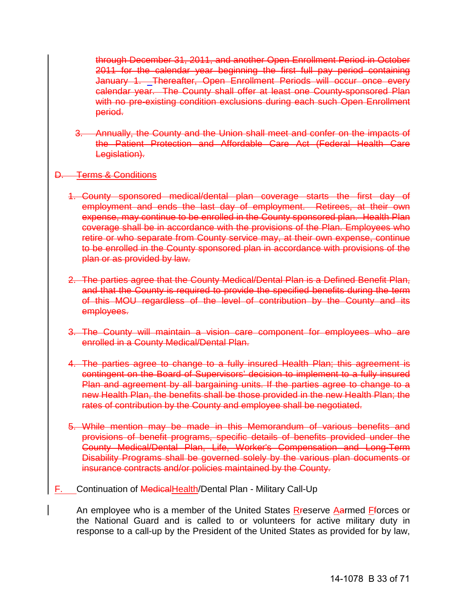through December 31, 2011, and another Open Enrollment Period in October 2011 for the calendar year beginning the first full pay period containing January 1. \_ Thereafter, Open Enrollment Periods will occur once every calendar year.The County shall offer at least one County-sponsored Plan with no pre-existing condition exclusions during each such Open Enrollment period.

3. Annually, the County and the Union shall meet and confer on the impacts of the Patient Protection and Affordable Care Act (Federal Health Care Legislation).

#### D. Terms & Conditions

- 1. County sponsored medical/dental plan coverage starts the first day of employment and ends the last day of employment. Retirees, at their own expense, may continue to be enrolled in the County sponsored plan. Health Plan coverage shall be in accordance with the provisions of the Plan. Employees who retire or who separate from County service may, at their own expense, continue to be enrolled in the County sponsored plan in accordance with provisions of the plan or as provided by law.
- 2. The parties agree that the County Medical/Dental Plan is a Defined Benefit Plan, and that the County is required to provide the specified benefits during the term of this MOU regardless of the level of contribution by the County and its employees.
- 3. The County will maintain a vision care component for employees who are enrolled in a County Medical/Dental Plan.
- 4. The parties agree to change to a fully insured Health Plan; this agreement is contingent on the Board of Supervisors' decision to implement to a fully insured Plan and agreement by all bargaining units. If the parties agree to change to a new Health Plan, the benefits shall be those provided in the new Health Plan; the rates of contribution by the County and employee shall be negotiated.
- 5. While mention may be made in this Memorandum of various benefits and provisions of benefit programs, specific details of benefits provided under the County Medical/Dental Plan, Life, Worker's Compensation and Long-Term Disability Programs shall be governed solely by the various plan documents or insurance contracts and/or policies maintained by the County.
- F. Continuation of MedicalHealth/Dental Plan Military Call-Up

An employee who is a member of the United States Rreserve Aarmed Fforces or the National Guard and is called to or volunteers for active military duty in response to a call-up by the President of the United States as provided for by law,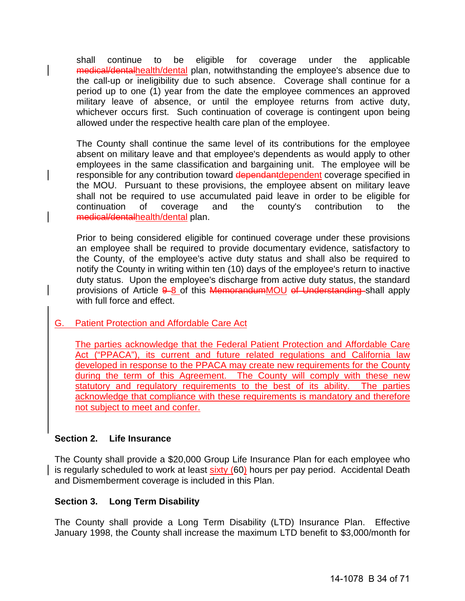shall continue to be eligible for coverage under the applicable medical/dentalhealth/dental plan, notwithstanding the employee's absence due to the call-up or ineligibility due to such absence. Coverage shall continue for a period up to one (1) year from the date the employee commences an approved military leave of absence, or until the employee returns from active duty, whichever occurs first. Such continuation of coverage is contingent upon being allowed under the respective health care plan of the employee.

The County shall continue the same level of its contributions for the employee absent on military leave and that employee's dependents as would apply to other employees in the same classification and bargaining unit. The employee will be responsible for any contribution toward dependantdependent coverage specified in the MOU. Pursuant to these provisions, the employee absent on military leave shall not be required to use accumulated paid leave in order to be eligible for continuation of coverage and the county's contribution to the medical/dentalhealth/dental plan.

Prior to being considered eligible for continued coverage under these provisions an employee shall be required to provide documentary evidence, satisfactory to the County, of the employee's active duty status and shall also be required to notify the County in writing within ten (10) days of the employee's return to inactive duty status. Upon the employee's discharge from active duty status, the standard provisions of Article 9-8 of this MemorandumMOU of Understanding shall apply with full force and effect.

## G. Patient Protection and Affordable Care Act

The parties acknowledge that the Federal Patient Protection and Affordable Care Act ("PPACA"), its current and future related regulations and California law developed in response to the PPACA may create new requirements for the County during the term of this Agreement. The County will comply with these new statutory and regulatory requirements to the best of its ability. The parties acknowledge that compliance with these requirements is mandatory and therefore not subject to meet and confer.

## <span id="page-33-0"></span>**Section 2. Life Insurance**

The County shall provide a \$20,000 Group Life Insurance Plan for each employee who is regularly scheduled to work at least sixty (60) hours per pay period. Accidental Death and Dismemberment coverage is included in this Plan.

## <span id="page-33-1"></span>**Section 3. Long Term Disability**

The County shall provide a Long Term Disability (LTD) Insurance Plan. Effective January 1998, the County shall increase the maximum LTD benefit to \$3,000/month for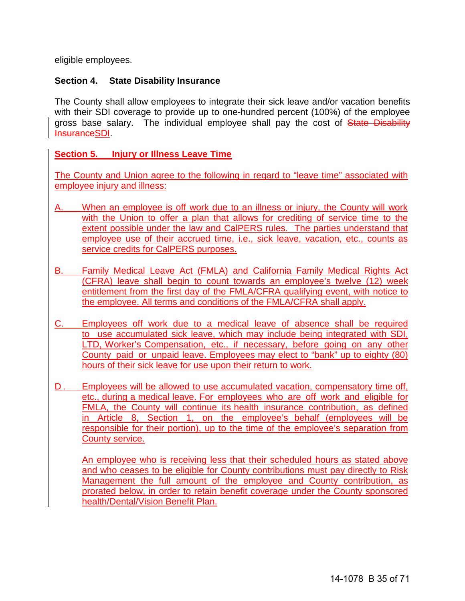eligible employees.

## <span id="page-34-0"></span>**Section 4. State Disability Insurance**

The County shall allow employees to integrate their sick leave and/or vacation benefits with their SDI coverage to provide up to one-hundred percent (100%) of the employee gross base salary. The individual employee shall pay the cost of State Disability InsuranceSDI.

## <span id="page-34-1"></span>**Section 5. Injury or Illness Leave Time**

The County and Union agree to the following in regard to "leave time" associated with employee injury and illness:

- When an employee is off work due to an illness or injury, the County will work with the Union to offer a plan that allows for crediting of service time to the extent possible under the law and CalPERS rules. The parties understand that employee use of their accrued time, i.e., sick leave, vacation, etc., counts as service credits for CalPERS purposes.
- B. Family Medical Leave Act (FMLA) and California Family Medical Rights Act (CFRA) leave shall begin to count towards an employee's twelve (12) week entitlement from the first day of the FMLA/CFRA qualifying event, with notice to the employee. All terms and conditions of the FMLA/CFRA shall apply.
- C. Employees off work due to a medical leave of absence shall be required to use accumulated sick leave, which may include being integrated with SDI, LTD, Worker's Compensation, etc., if necessary, before going on any other County paid or unpaid leave. Employees may elect to "bank" up to eighty (80) hours of their sick leave for use upon their return to work.
- D. Employees will be allowed to use accumulated vacation, compensatory time off, etc., during a medical leave. For employees who are off work and eligible for FMLA, the County will continue its health insurance contribution, as defined in Article 8, Section 1, on the employee's behalf (employees will be responsible for their portion), up to the time of the employee's separation from County service.

An employee who is receiving less that their scheduled hours as stated above and who ceases to be eligible for County contributions must pay directly to Risk Management the full amount of the employee and County contribution, as prorated below, in order to retain benefit coverage under the County sponsored health/Dental/Vision Benefit Plan.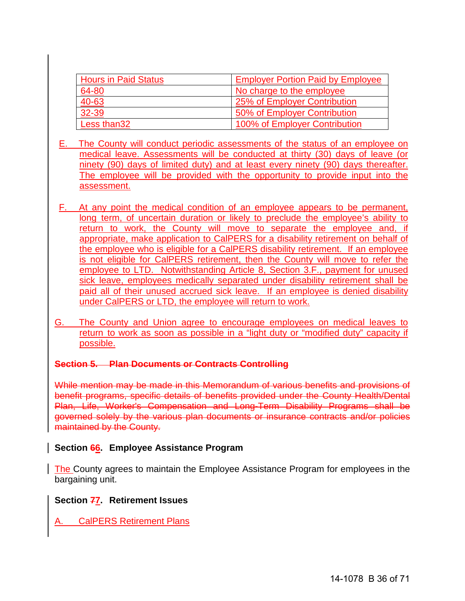| <b>Hours in Paid Status</b> | <b>Employer Portion Paid by Employee</b> |
|-----------------------------|------------------------------------------|
| 64-80                       | No charge to the employee                |
| $40 - 63$                   | 25% of Employer Contribution             |
| 32-39                       | 50% of Employer Contribution             |
| Less than32                 | 100% of Employer Contribution            |

- E. The County will conduct periodic assessments of the status of an employee on medical leave. Assessments will be conducted at thirty (30) days of leave (or ninety (90) days of limited duty) and at least every ninety (90) days thereafter. The employee will be provided with the opportunity to provide input into the assessment.
- F. At any point the medical condition of an employee appears to be permanent, long term, of uncertain duration or likely to preclude the employee's ability to return to work, the County will move to separate the employee and, if appropriate, make application to CalPERS for a disability retirement on behalf of the employee who is eligible for a CalPERS disability retirement. If an employee is not eligible for CalPERS retirement, then the County will move to refer the employee to LTD. Notwithstanding Article 8, Section 3.F., payment for unused sick leave, employees medically separated under disability retirement shall be paid all of their unused accrued sick leave. If an employee is denied disability under CalPERS or LTD, the employee will return to work.
- G. The County and Union agree to encourage employees on medical leaves to return to work as soon as possible in a "light duty or "modified duty" capacity if possible.

## **Section 5. Plan Documents or Contracts Controlling**

While mention may be made in this Memorandum of various benefits and provisions of benefit programs, specific details of benefits provided under the County Health/Dental Plan, Life, Worker's Compensation and Long-Term Disability Programs shall be governed solely by the various plan documents or insurance contracts and/or policies maintained by the County.

## <span id="page-35-0"></span>**Section 66. Employee Assistance Program**

The County agrees to maintain the Employee Assistance Program for employees in the bargaining unit.

## <span id="page-35-1"></span>**Section 77. Retirement Issues**

**CalPERS Retirement Plans**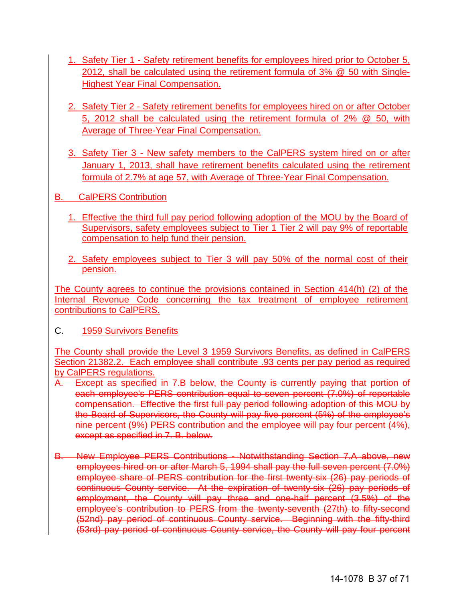- 1. Safety Tier 1 Safety retirement benefits for employees hired prior to October 5, 2012, shall be calculated using the retirement formula of 3% @ 50 with Single-Highest Year Final Compensation.
- 2. Safety Tier 2 Safety retirement benefits for employees hired on or after October 5, 2012 shall be calculated using the retirement formula of 2% @ 50, with Average of Three-Year Final Compensation.
- 3. Safety Tier 3 New safety members to the CalPERS system hired on or after January 1, 2013, shall have retirement benefits calculated using the retirement formula of 2.7% at age 57, with Average of Three-Year Final Compensation.
- B. CalPERS Contribution
	- 1. Effective the third full pay period following adoption of the MOU by the Board of Supervisors, safety employees subject to Tier 1 Tier 2 will pay 9% of reportable compensation to help fund their pension.
	- 2. Safety employees subject to Tier 3 will pay 50% of the normal cost of their pension.

The County agrees to continue the provisions contained in Section 414(h) (2) of the Internal Revenue Code concerning the tax treatment of employee retirement contributions to CalPERS.

C. 1959 Survivors Benefits

The County shall provide the Level 3 1959 Survivors Benefits, as defined in CalPERS Section 21382.2. Each employee shall contribute .93 cents per pay period as required by CalPERS regulations.

- A. Except as specified in 7.B below, the County is currently paying that portion of each employee's PERS contribution equal to seven percent (7.0%) of reportable compensation. Effective the first full pay period following adoption of this MOU by the Board of Supervisors, the County will pay five percent (5%) of the employee's nine percent (9%) PERS contribution and the employee will pay four percent (4%), except as specified in 7. B. below.
- B. New Employee PERS Contributions Notwithstanding Section 7.A above, new employees hired on or after March 5, 1994 shall pay the full seven percent (7.0%) employee share of PERS contribution for the first twenty-six (26) pay periods of continuous County service. At the expiration of twenty-six (26) pay periods of employment, the County will pay three and one-half percent (3.5%) of the employee's contribution to PERS from the twenty-seventh (27th) to fifty-second (52nd) pay period of continuous County service. Beginning with the fifty-third (53rd) pay period of continuous County service, the County will pay four percent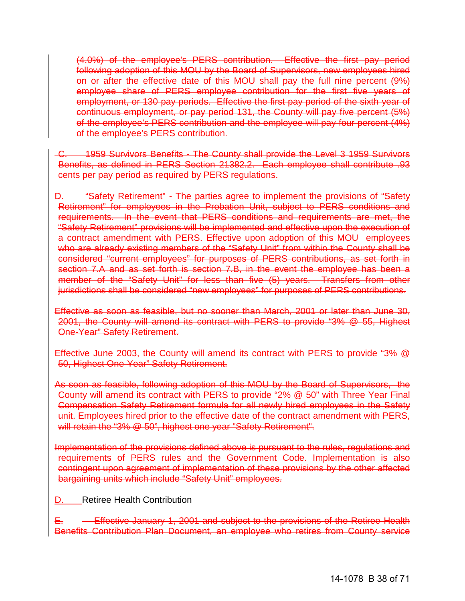(4.0%) of the employee's PERS contribution. Effective the first pay period following adoption of this MOU by the Board of Supervisors, new employees hired on or after the effective date of this MOU shall pay the full nine percent (9%) employee share of PERS employee contribution for the first five years of employment, or 130 pay periods. Effective the first pay period of the sixth year of continuous employment, or pay period 131, the County will pay five percent (5%) of the employee's PERS contribution and the employee will pay four percent (4%) of the employee's PERS contribution.

- C. 1959 Survivors Benefits The County shall provide the Level 3 1959 Survivors Benefits, as defined in PERS Section 21382.2. Each employee shall contribute .93 cents per pay period as required by PERS regulations.
- D. "Safety Retirement" The parties agree to implement the provisions of "Safety Retirement" for employees in the Probation Unit, subject to PERS conditions and requirements. In the event that PERS conditions and requirements are met, the "Safety Retirement" provisions will be implemented and effective upon the execution of a contract amendment with PERS. Effective upon adoption of this MOU employees who are already existing members of the "Safety Unit" from within the County shall be considered "current employees" for purposes of PERS contributions, as set forth in section 7.A and as set forth is section 7.B, in the event the employee has been a member of the "Safety Unit" for less than five (5) years. Transfers from other jurisdictions shall be considered "new employees" for purposes of PERS contributions.
- Effective as soon as feasible, but no sooner than March, 2001 or later than June 30, 2001, the County will amend its contract with PERS to provide "3% @ 55, Highest One-Year" Safety Retirement.
- Effective June 2003, the County will amend its contract with PERS to provide "3% @ 50, Highest One-Year" Safety Retirement.
- As soon as feasible, following adoption of this MOU by the Board of Supervisors, the County will amend its contract with PERS to provide "2% @ 50" with Three Year Final Compensation Safety Retirement formula for all newly hired employees in the Safety unit. Employees hired prior to the effective date of the contract amendment with PERS, will retain the "3% @ 50", highest one year "Safety Retirement".
- Implementation of the provisions defined above is pursuant to the rules, regulations and requirements of PERS rules and the Government Code. Implementation is also contingent upon agreement of implementation of these provisions by the other affected bargaining units which include "Safety Unit" employees.
- D. Retiree Health Contribution
- E. Effective January 1, 2001 and subject to the provisions of the Retiree Health Benefits Contribution Plan Document, an employee who retires from County service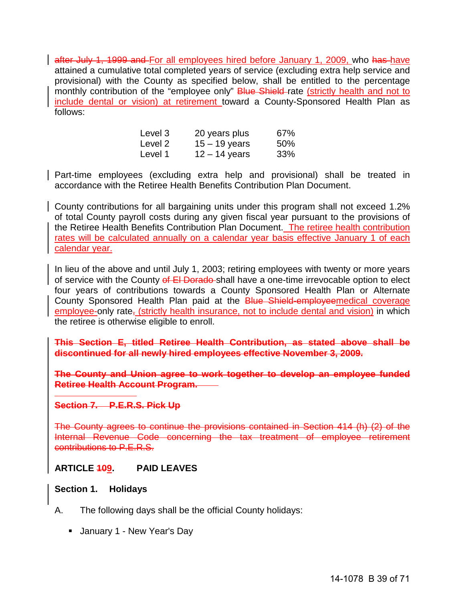after July 1, 1999 and For all employees hired before January 1, 2009, who has have attained a cumulative total completed years of service (excluding extra help service and provisional) with the County as specified below, shall be entitled to the percentage monthly contribution of the "employee only" Blue Shield rate (strictly health and not to include dental or vision) at retirement toward a County-Sponsored Health Plan as follows:

| Level 3 | 20 years plus   | 67% |
|---------|-----------------|-----|
| Level 2 | $15 - 19$ years | 50% |
| Level 1 | $12 - 14$ years | 33% |

Part-time employees (excluding extra help and provisional) shall be treated in accordance with the Retiree Health Benefits Contribution Plan Document.

County contributions for all bargaining units under this program shall not exceed 1.2% of total County payroll costs during any given fiscal year pursuant to the provisions of the Retiree Health Benefits Contribution Plan Document. The retiree health contribution rates will be calculated annually on a calendar year basis effective January 1 of each calendar year.

In lieu of the above and until July 1, 2003; retiring employees with twenty or more years of service with the County of El Dorado-shall have a one-time irrevocable option to elect four years of contributions towards a County Sponsored Health Plan or Alternate County Sponsored Health Plan paid at the Blue Shield-employeemedical coverage employee-only rate, (strictly health insurance, not to include dental and vision) in which the retiree is otherwise eligible to enroll.

**This Section E, titled Retiree Health Contribution, as stated above shall be discontinued for all newly hired employees effective November 3, 2009.**

**The County and Union agree to work together to develop an employee funded Retiree Health Account Program.** 

#### **Section 7. P.E.R.S. Pick Up**

The County agrees to continue the provisions contained in Section 414 (h) (2) of the Internal Revenue Code concerning the tax treatment of employee retirement contributions to P.E.R.S.

## <span id="page-38-0"></span>**ARTICLE 109. PAID LEAVES**

#### <span id="page-38-1"></span>**Section 1. Holidays**

- A. The following days shall be the official County holidays:
	- January 1 New Year's Day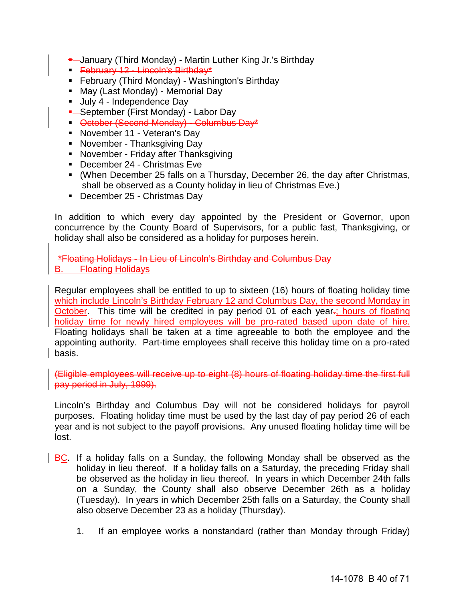**-** January (Third Monday) - Martin Luther King Jr.'s Birthday

- **February 12 Lincoln's Birthday\***
- **February (Third Monday) Washington's Birthday**
- May (Last Monday) Memorial Day
- Uuly 4 Independence Day
- **-**September (First Monday) Labor Day
- October (Second Monday) Columbus Day\*
- **November 11 Veteran's Day**
- November Thanksgiving Day
- **November Friday after Thanksgiving**
- December 24 Christmas Eve
- (When December 25 falls on a Thursday, December 26, the day after Christmas, shall be observed as a County holiday in lieu of Christmas Eve.)
- December 25 Christmas Day

In addition to which every day appointed by the President or Governor, upon concurrence by the County Board of Supervisors, for a public fast, Thanksgiving, or holiday shall also be considered as a holiday for purposes herein.

\*Floating Holidays - In Lieu of Lincoln's Birthday and Columbus Day B. Floating Holidays

Regular employees shall be entitled to up to sixteen (16) hours of floating holiday time which include Lincoln's Birthday February 12 and Columbus Day, the second Monday in October. This time will be credited in pay period 01 of each year-; hours of floating holiday time for newly hired employees will be pro-rated based upon date of hire. Floating holidays shall be taken at a time agreeable to both the employee and the appointing authority. Part-time employees shall receive this holiday time on a pro-rated basis.

(Eligible employees will receive up to eight (8) hours of floating holiday time the first full pay period in July, 1999).

Lincoln's Birthday and Columbus Day will not be considered holidays for payroll purposes. Floating holiday time must be used by the last day of pay period 26 of each year and is not subject to the payoff provisions. Any unused floating holiday time will be lost.

- BC. If a holiday falls on a Sunday, the following Monday shall be observed as the holiday in lieu thereof. If a holiday falls on a Saturday, the preceding Friday shall be observed as the holiday in lieu thereof. In years in which December 24th falls on a Sunday, the County shall also observe December 26th as a holiday (Tuesday). In years in which December 25th falls on a Saturday, the County shall also observe December 23 as a holiday (Thursday).
	- 1. If an employee works a nonstandard (rather than Monday through Friday)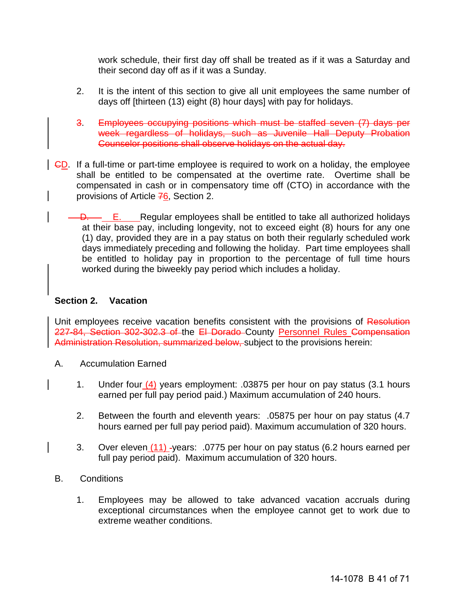work schedule, their first day off shall be treated as if it was a Saturday and their second day off as if it was a Sunday.

- 2. It is the intent of this section to give all unit employees the same number of days off [thirteen (13) eight (8) hour days] with pay for holidays.
- 3. Employees occupying positions which must be staffed seven (7) days per week regardless of holidays, such as Juvenile Hall Deputy Probation Counselor positions shall observe holidays on the actual day.
- $CD$ . If a full-time or part-time employee is required to work on a holiday, the employee shall be entitled to be compensated at the overtime rate. Overtime shall be compensated in cash or in compensatory time off (CTO) in accordance with the provisions of Article 76, Section 2.
	- **D.** E. Regular employees shall be entitled to take all authorized holidays at their base pay, including longevity, not to exceed eight (8) hours for any one (1) day, provided they are in a pay status on both their regularly scheduled work days immediately preceding and following the holiday. Part time employees shall be entitled to holiday pay in proportion to the percentage of full time hours worked during the biweekly pay period which includes a holiday.

## <span id="page-40-0"></span>**Section 2. Vacation**

Unit employees receive vacation benefits consistent with the provisions of Resolution 227-84, Section 302-302.3 of the El Dorado County Personnel Rules Compensation Administration Resolution, summarized below, subject to the provisions herein:

- A. Accumulation Earned
	- 1. Under four (4) years employment: .03875 per hour on pay status (3.1 hours earned per full pay period paid.) Maximum accumulation of 240 hours.
	- 2. Between the fourth and eleventh years: .05875 per hour on pay status (4.7 hours earned per full pay period paid). Maximum accumulation of 320 hours.
	- 3. Over eleven (11) years: .0775 per hour on pay status (6.2 hours earned per full pay period paid). Maximum accumulation of 320 hours.
- B. Conditions
	- 1. Employees may be allowed to take advanced vacation accruals during exceptional circumstances when the employee cannot get to work due to extreme weather conditions.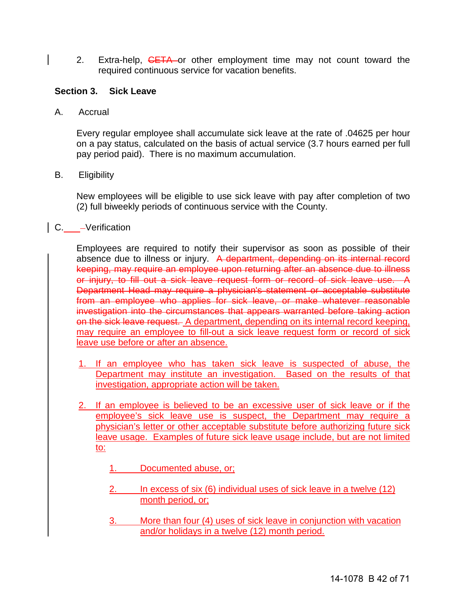2. Extra-help, CETA or other employment time may not count toward the required continuous service for vacation benefits.

## <span id="page-41-0"></span>**Section 3. Sick Leave**

A. Accrual

Every regular employee shall accumulate sick leave at the rate of .04625 per hour on a pay status, calculated on the basis of actual service (3.7 hours earned per full pay period paid). There is no maximum accumulation.

## B. Eligibility

New employees will be eligible to use sick leave with pay after completion of two (2) full biweekly periods of continuous service with the County.

## C. Verification

Employees are required to notify their supervisor as soon as possible of their absence due to illness or injury. A department, depending on its internal record keeping, may require an employee upon returning after an absence due to illness or injury, to fill out a sick leave request form or record of sick leave use. A Department Head may require a physician's statement or acceptable substitute from an employee who applies for sick leave, or make whatever reasonable investigation into the circumstances that appears warranted before taking action on the sick leave request. A department, depending on its internal record keeping, may require an employee to fill-out a sick leave request form or record of sick leave use before or after an absence.

- 1. If an employee who has taken sick leave is suspected of abuse, the Department may institute an investigation. Based on the results of that investigation, appropriate action will be taken.
- 2. If an employee is believed to be an excessive user of sick leave or if the employee's sick leave use is suspect, the Department may require a physician's letter or other acceptable substitute before authorizing future sick leave usage. Examples of future sick leave usage include, but are not limited to:
	- 1. Documented abuse, or;
	- 2. In excess of six (6) individual uses of sick leave in a twelve (12) month period, or;
	- 3. More than four (4) uses of sick leave in conjunction with vacation and/or holidays in a twelve (12) month period.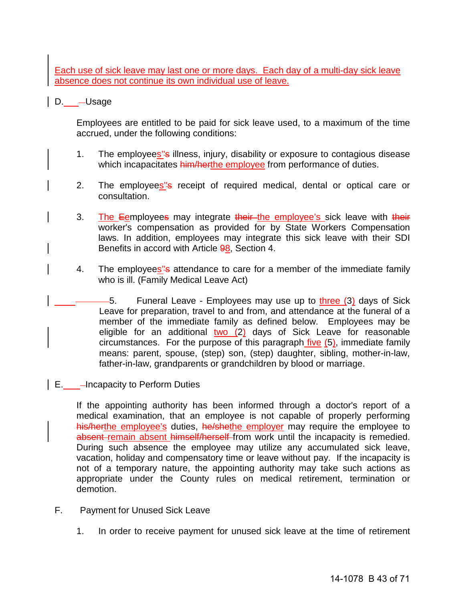Each use of sick leave may last one or more days. Each day of a multi-day sick leave absence does not continue its own individual use of leave.

## $\vert$  D.  $\vert$  –Usage

Employees are entitled to be paid for sick leave used, to a maximum of the time accrued, under the following conditions:

- 1. The employees<sup>''</sup> sillness, injury, disability or exposure to contagious disease which incapacitates him/herthe employee from performance of duties.
- 2. The employees<sup>''</sup> s receipt of required medical, dental or optical care or consultation.
- 3. The Eemployees may integrate their the employee's sick leave with their worker's compensation as provided for by State Workers Compensation laws. In addition, employees may integrate this sick leave with their SDI Benefits in accord with Article 98, Section 4.
- 4. The employees''s attendance to care for a member of the immediate family who is ill. (Family Medical Leave Act)
	- -5. Funeral Leave Employees may use up to three (3) days of Sick Leave for preparation, travel to and from, and attendance at the funeral of a member of the immediate family as defined below. Employees may be eligible for an additional  $two$   $(2)$  days of Sick Leave for reasonable circumstances. For the purpose of this paragraph five (5), immediate family means: parent, spouse, (step) son, (step) daughter, sibling, mother-in-law, father-in-law, grandparents or grandchildren by blood or marriage.
- | E. Incapacity to Perform Duties

If the appointing authority has been informed through a doctor's report of a medical examination, that an employee is not capable of properly performing his/herthe employee's duties, he/shethe employer may require the employee to absent remain absent himself/herself from work until the incapacity is remedied. During such absence the employee may utilize any accumulated sick leave, vacation, holiday and compensatory time or leave without pay. If the incapacity is not of a temporary nature, the appointing authority may take such actions as appropriate under the County rules on medical retirement, termination or demotion.

- F. Payment for Unused Sick Leave
	- 1. In order to receive payment for unused sick leave at the time of retirement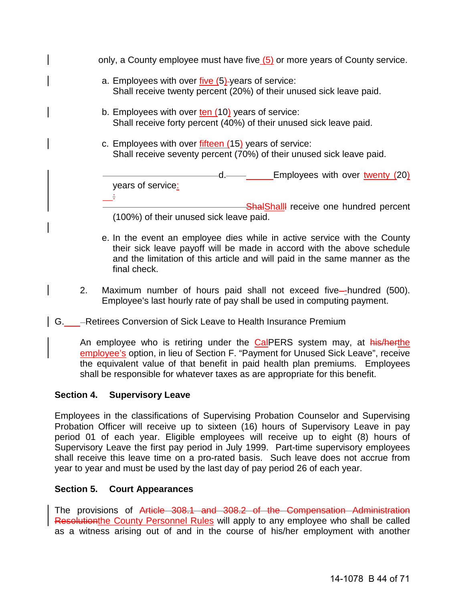only, a County employee must have five (5) or more years of County service.

- a. Employees with over *five* (5)-years of service: Shall receive twenty percent (20%) of their unused sick leave paid.
- b. Employees with over  $ten(10)$  years of service: Shall receive forty percent (40%) of their unused sick leave paid.
- c. Employees with over fifteen (15) years of service: Shall receive seventy percent (70%) of their unused sick leave paid.

-d.—— **Employees** with over twenty (20) years of service: :

**ShalShalll** receive one hundred percent (100%) of their unused sick leave paid.

- e. In the event an employee dies while in active service with the County their sick leave payoff will be made in accord with the above schedule and the limitation of this article and will paid in the same manner as the final check.
- 2. Maximum number of hours paid shall not exceed five--hundred (500). Employee's last hourly rate of pay shall be used in computing payment.
- G. Retirees Conversion of Sick Leave to Health Insurance Premium

An employee who is retiring under the CalPERS system may, at his/herthe employee's option, in lieu of Section F. "Payment for Unused Sick Leave", receive the equivalent value of that benefit in paid health plan premiums. Employees shall be responsible for whatever taxes as are appropriate for this benefit.

## <span id="page-43-0"></span>**Section 4. Supervisory Leave**

Employees in the classifications of Supervising Probation Counselor and Supervising Probation Officer will receive up to sixteen (16) hours of Supervisory Leave in pay period 01 of each year. Eligible employees will receive up to eight (8) hours of Supervisory Leave the first pay period in July 1999. Part-time supervisory employees shall receive this leave time on a pro-rated basis. Such leave does not accrue from year to year and must be used by the last day of pay period 26 of each year.

## <span id="page-43-1"></span>**Section 5. Court Appearances**

The provisions of Article 308.1 and 308.2 of the Compensation Administration Resolutionthe County Personnel Rules will apply to any employee who shall be called as a witness arising out of and in the course of his/her employment with another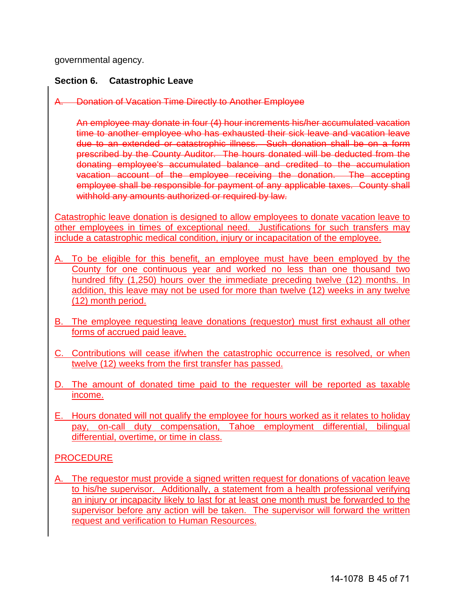governmental agency.

## <span id="page-44-0"></span>**Section 6. Catastrophic Leave**

A. Donation of Vacation Time Directly to Another Employee

An employee may donate in four (4) hour increments his/her accumulated vacation time to another employee who has exhausted their sick leave and vacation leave due to an extended or catastrophic illness. Such donation shall be on a form prescribed by the County Auditor. The hours donated will be deducted from the donating employee's accumulated balance and credited to the accumulation vacation account of the employee receiving the donation. The accepting employee shall be responsible for payment of any applicable taxes. County shall withhold any amounts authorized or required by law.

Catastrophic leave donation is designed to allow employees to donate vacation leave to other employees in times of exceptional need. Justifications for such transfers may include a catastrophic medical condition, injury or incapacitation of the employee.

- A. To be eligible for this benefit, an employee must have been employed by the County for one continuous year and worked no less than one thousand two hundred fifty (1,250) hours over the immediate preceding twelve (12) months. In addition, this leave may not be used for more than twelve (12) weeks in any twelve (12) month period.
- B. The employee requesting leave donations (requestor) must first exhaust all other forms of accrued paid leave.
- C. Contributions will cease if/when the catastrophic occurrence is resolved, or when twelve (12) weeks from the first transfer has passed.
- D. The amount of donated time paid to the requester will be reported as taxable income.
- E. Hours donated will not qualify the employee for hours worked as it relates to holiday pay, on-call duty compensation, Tahoe employment differential, bilingual differential, overtime, or time in class.

## **PROCEDURE**

A. The requestor must provide a signed written request for donations of vacation leave to his/he supervisor. Additionally, a statement from a health professional verifying an injury or incapacity likely to last for at least one month must be forwarded to the supervisor before any action will be taken. The supervisor will forward the written request and verification to Human Resources.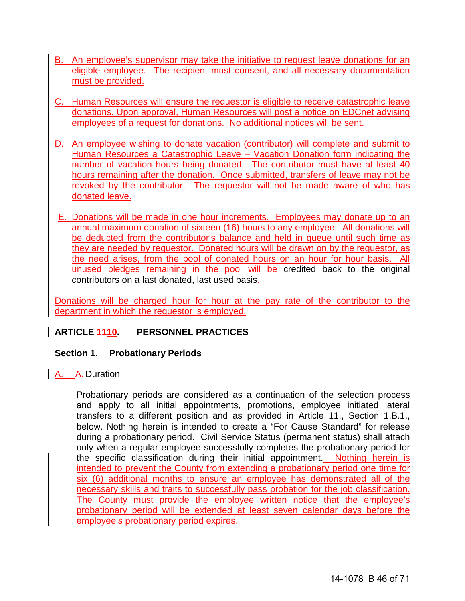- B. An employee's supervisor may take the initiative to request leave donations for an eligible employee. The recipient must consent, and all necessary documentation must be provided.
- C. Human Resources will ensure the requestor is eligible to receive catastrophic leave donations. Upon approval, Human Resources will post a notice on EDCnet advising employees of a request for donations. No additional notices will be sent.
- D. An employee wishing to donate vacation (contributor) will complete and submit to Human Resources a Catastrophic Leave – Vacation Donation form indicating the number of vacation hours being donated. The contributor must have at least 40 hours remaining after the donation. Once submitted, transfers of leave may not be revoked by the contributor. The requestor will not be made aware of who has donated leave.
- E. Donations will be made in one hour increments. Employees may donate up to an annual maximum donation of sixteen (16) hours to any employee. All donations will be deducted from the contributor's balance and held in queue until such time as they are needed by requestor. Donated hours will be drawn on by the requestor, as the need arises, from the pool of donated hours on an hour for hour basis. All unused pledges remaining in the pool will be credited back to the original contributors on a last donated, last used basis.

Donations will be charged hour for hour at the pay rate of the contributor to the department in which the requestor is employed.

# <span id="page-45-0"></span>**ARTICLE 1110. PERSONNEL PRACTICES**

## <span id="page-45-1"></span>**Section 1. Probationary Periods**

A. A.-Duration

Probationary periods are considered as a continuation of the selection process and apply to all initial appointments, promotions, employee initiated lateral transfers to a different position and as provided in Article 11., Section 1.B.1., below. Nothing herein is intended to create a "For Cause Standard" for release during a probationary period. Civil Service Status (permanent status) shall attach only when a regular employee successfully completes the probationary period for the specific classification during their initial appointment. Nothing herein is intended to prevent the County from extending a probationary period one time for six (6) additional months to ensure an employee has demonstrated all of the necessary skills and traits to successfully pass probation for the job classification. The County must provide the employee written notice that the employee's probationary period will be extended at least seven calendar days before the employee's probationary period expires.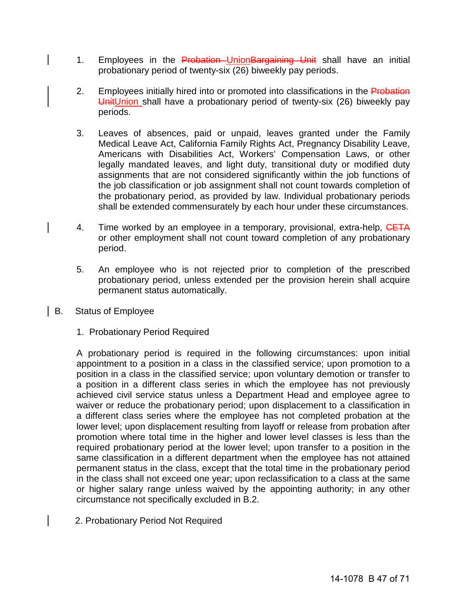- 1. Employees in the **Probation Union Bargaining Unit** shall have an initial probationary period of twenty-six (26) biweekly pay periods.
- 2. Employees initially hired into or promoted into classifications in the **Probation** UnitUnion shall have a probationary period of twenty-six (26) biweekly pay periods.
- 3. Leaves of absences, paid or unpaid, leaves granted under the Family Medical Leave Act, California Family Rights Act, Pregnancy Disability Leave, Americans with Disabilities Act, Workers' Compensation Laws, or other legally mandated leaves, and light duty, transitional duty or modified duty assignments that are not considered significantly within the job functions of the job classification or job assignment shall not count towards completion of the probationary period, as provided by law. Individual probationary periods shall be extended commensurately by each hour under these circumstances.
- 4. Time worked by an employee in a temporary, provisional, extra-help, CETA or other employment shall not count toward completion of any probationary period.
- 5. An employee who is not rejected prior to completion of the prescribed probationary period, unless extended per the provision herein shall acquire permanent status automatically.
- B. Status of Employee
	- 1. Probationary Period Required

 A probationary period is required in the following circumstances: upon initial appointment to a position in a class in the classified service; upon promotion to a position in a class in the classified service; upon voluntary demotion or transfer to a position in a different class series in which the employee has not previously achieved civil service status unless a Department Head and employee agree to waiver or reduce the probationary period; upon displacement to a classification in a different class series where the employee has not completed probation at the lower level; upon displacement resulting from layoff or release from probation after promotion where total time in the higher and lower level classes is less than the required probationary period at the lower level; upon transfer to a position in the same classification in a different department when the employee has not attained permanent status in the class, except that the total time in the probationary period in the class shall not exceed one year; upon reclassification to a class at the same or higher salary range unless waived by the appointing authority; in any other circumstance not specifically excluded in B.2.

2. Probationary Period Not Required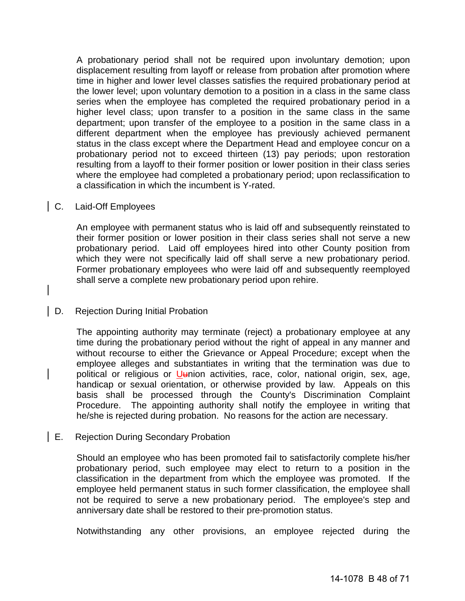A probationary period shall not be required upon involuntary demotion; upon displacement resulting from layoff or release from probation after promotion where time in higher and lower level classes satisfies the required probationary period at the lower level; upon voluntary demotion to a position in a class in the same class series when the employee has completed the required probationary period in a higher level class; upon transfer to a position in the same class in the same department; upon transfer of the employee to a position in the same class in a different department when the employee has previously achieved permanent status in the class except where the Department Head and employee concur on a probationary period not to exceed thirteen (13) pay periods; upon restoration resulting from a layoff to their former position or lower position in their class series where the employee had completed a probationary period; upon reclassification to a classification in which the incumbent is Y-rated.

#### C. Laid-Off Employees

An employee with permanent status who is laid off and subsequently reinstated to their former position or lower position in their class series shall not serve a new probationary period. Laid off employees hired into other County position from which they were not specifically laid off shall serve a new probationary period. Former probationary employees who were laid off and subsequently reemployed shall serve a complete new probationary period upon rehire.

## D. Rejection During Initial Probation

The appointing authority may terminate (reject) a probationary employee at any time during the probationary period without the right of appeal in any manner and without recourse to either the Grievance or Appeal Procedure; except when the employee alleges and substantiates in writing that the termination was due to political or religious or Uunion activities, race, color, national origin, sex, age, handicap or sexual orientation, or otherwise provided by law. Appeals on this basis shall be processed through the County's Discrimination Complaint Procedure. The appointing authority shall notify the employee in writing that he/she is rejected during probation. No reasons for the action are necessary.

#### E. Rejection During Secondary Probation

Should an employee who has been promoted fail to satisfactorily complete his/her probationary period, such employee may elect to return to a position in the classification in the department from which the employee was promoted. If the employee held permanent status in such former classification, the employee shall not be required to serve a new probationary period. The employee's step and anniversary date shall be restored to their pre-promotion status.

Notwithstanding any other provisions, an employee rejected during the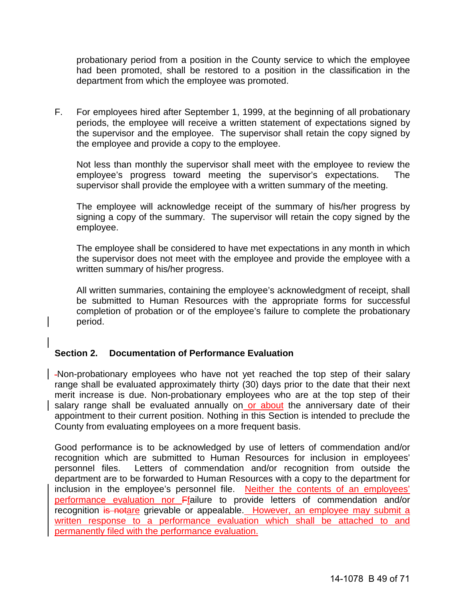probationary period from a position in the County service to which the employee had been promoted, shall be restored to a position in the classification in the department from which the employee was promoted.

F. For employees hired after September 1, 1999, at the beginning of all probationary periods, the employee will receive a written statement of expectations signed by the supervisor and the employee. The supervisor shall retain the copy signed by the employee and provide a copy to the employee.

Not less than monthly the supervisor shall meet with the employee to review the employee's progress toward meeting the supervisor's expectations. The supervisor shall provide the employee with a written summary of the meeting.

The employee will acknowledge receipt of the summary of his/her progress by signing a copy of the summary. The supervisor will retain the copy signed by the employee.

The employee shall be considered to have met expectations in any month in which the supervisor does not meet with the employee and provide the employee with a written summary of his/her progress.

All written summaries, containing the employee's acknowledgment of receipt, shall be submitted to Human Resources with the appropriate forms for successful completion of probation or of the employee's failure to complete the probationary period.

# <span id="page-48-0"></span>**Section 2. Documentation of Performance Evaluation**

Non-probationary employees who have not yet reached the top step of their salary range shall be evaluated approximately thirty (30) days prior to the date that their next merit increase is due. Non-probationary employees who are at the top step of their salary range shall be evaluated annually on or about the anniversary date of their appointment to their current position. Nothing in this Section is intended to preclude the County from evaluating employees on a more frequent basis.

Good performance is to be acknowledged by use of letters of commendation and/or recognition which are submitted to Human Resources for inclusion in employees' personnel files. Letters of commendation and/or recognition from outside the department are to be forwarded to Human Resources with a copy to the department for inclusion in the employee's personnel file. Neither the contents of an employees' performance evaluation nor *Efailure* to provide letters of commendation and/or recognition is notare grievable or appealable. However, an employee may submit a written response to a performance evaluation which shall be attached to and permanently filed with the performance evaluation.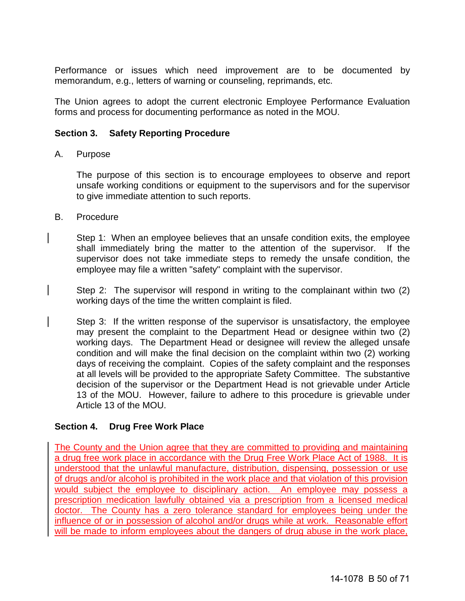Performance or issues which need improvement are to be documented by memorandum, e.g., letters of warning or counseling, reprimands, etc.

The Union agrees to adopt the current electronic Employee Performance Evaluation forms and process for documenting performance as noted in the MOU.

## <span id="page-49-0"></span>**Section 3. Safety Reporting Procedure**

#### A. Purpose

The purpose of this section is to encourage employees to observe and report unsafe working conditions or equipment to the supervisors and for the supervisor to give immediate attention to such reports.

B. Procedure

Step 1: When an employee believes that an unsafe condition exits, the employee shall immediately bring the matter to the attention of the supervisor. If the supervisor does not take immediate steps to remedy the unsafe condition, the employee may file a written "safety" complaint with the supervisor.

Step 2: The supervisor will respond in writing to the complainant within two (2) working days of the time the written complaint is filed.

Step 3: If the written response of the supervisor is unsatisfactory, the employee may present the complaint to the Department Head or designee within two (2) working days. The Department Head or designee will review the alleged unsafe condition and will make the final decision on the complaint within two (2) working days of receiving the complaint. Copies of the safety complaint and the responses at all levels will be provided to the appropriate Safety Committee. The substantive decision of the supervisor or the Department Head is not grievable under Article 13 of the MOU. However, failure to adhere to this procedure is grievable under Article 13 of the MOU.

## <span id="page-49-1"></span>**Section 4. Drug Free Work Place**

The County and the Union agree that they are committed to providing and maintaining a drug free work place in accordance with the Drug Free Work Place Act of 1988. It is understood that the unlawful manufacture, distribution, dispensing, possession or use of drugs and/or alcohol is prohibited in the work place and that violation of this provision would subject the employee to disciplinary action. An employee may possess a prescription medication lawfully obtained via a prescription from a licensed medical doctor. The County has a zero tolerance standard for employees being under the influence of or in possession of alcohol and/or drugs while at work. Reasonable effort will be made to inform employees about the dangers of drug abuse in the work place,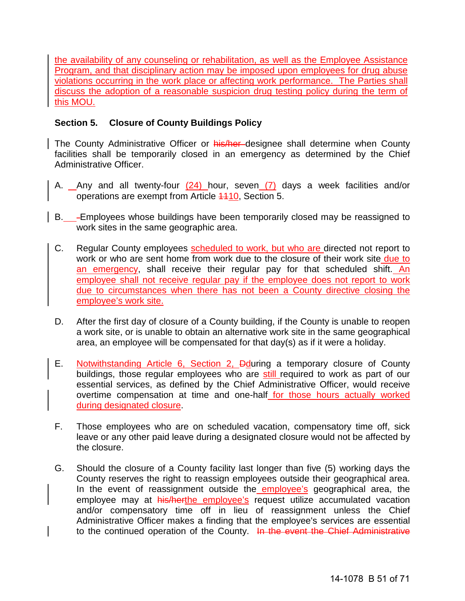the availability of any counseling or rehabilitation, as well as the Employee Assistance Program, and that disciplinary action may be imposed upon employees for drug abuse violations occurring in the work place or affecting work performance. The Parties shall discuss the adoption of a reasonable suspicion drug testing policy during the term of this MOU.

## <span id="page-50-0"></span>**Section 5. Closure of County Buildings Policy**

The County Administrative Officer or his/her-designee shall determine when County facilities shall be temporarily closed in an emergency as determined by the Chief Administrative Officer.

- A. Any and all twenty-four  $(24)$  hour, seven  $(7)$  days a week facilities and/or operations are exempt from Article 4410, Section 5.
- B. Employees whose buildings have been temporarily closed may be reassigned to work sites in the same geographic area.
- C. Regular County employees scheduled to work, but who are directed not report to work or who are sent home from work due to the closure of their work site due to an emergency, shall receive their regular pay for that scheduled shift. An employee shall not receive regular pay if the employee does not report to work due to circumstances when there has not been a County directive closing the employee's work site.
- D. After the first day of closure of a County building, if the County is unable to reopen a work site, or is unable to obtain an alternative work site in the same geographical area, an employee will be compensated for that day(s) as if it were a holiday.
- E. Notwithstanding Article 6, Section 2, Dduring a temporary closure of County buildings, those regular employees who are still required to work as part of our essential services, as defined by the Chief Administrative Officer, would receive overtime compensation at time and one-half for those hours actually worked during designated closure.
- F. Those employees who are on scheduled vacation, compensatory time off, sick leave or any other paid leave during a designated closure would not be affected by the closure.
- G. Should the closure of a County facility last longer than five (5) working days the County reserves the right to reassign employees outside their geographical area. In the event of reassignment outside the employee's geographical area, the employee may at his/herthe employee's request utilize accumulated vacation and/or compensatory time off in lieu of reassignment unless the Chief Administrative Officer makes a finding that the employee's services are essential to the continued operation of the County. In the event the Chief Administrative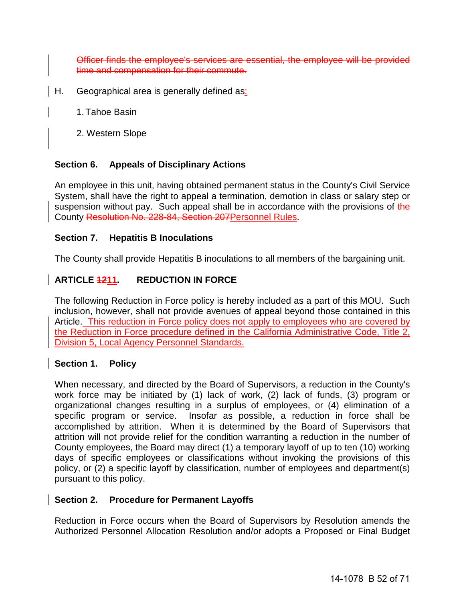Officer finds the employee's services are essential, the employee will be provided time and compensation for their commute.

- H. Geographical area is generally defined as:
	- 1.Tahoe Basin
	- 2. Western Slope

## <span id="page-51-0"></span>**Section 6. Appeals of Disciplinary Actions**

An employee in this unit, having obtained permanent status in the County's Civil Service System, shall have the right to appeal a termination, demotion in class or salary step or suspension without pay. Such appeal shall be in accordance with the provisions of the County Resolution No. 228-84, Section 207Personnel Rules.

#### <span id="page-51-1"></span>**Section 7. Hepatitis B Inoculations**

The County shall provide Hepatitis B inoculations to all members of the bargaining unit.

## <span id="page-51-2"></span>**ARTICLE 1211. REDUCTION IN FORCE**

The following Reduction in Force policy is hereby included as a part of this MOU. Such inclusion, however, shall not provide avenues of appeal beyond those contained in this Article. This reduction in Force policy does not apply to employees who are covered by the Reduction in Force procedure defined in the California Administrative Code, Title 2, Division 5, Local Agency Personnel Standards.

#### <span id="page-51-3"></span>**Section 1. Policy**

When necessary, and directed by the Board of Supervisors, a reduction in the County's work force may be initiated by (1) lack of work, (2) lack of funds, (3) program or organizational changes resulting in a surplus of employees, or (4) elimination of a specific program or service. Insofar as possible, a reduction in force shall be accomplished by attrition. When it is determined by the Board of Supervisors that attrition will not provide relief for the condition warranting a reduction in the number of County employees, the Board may direct (1) a temporary layoff of up to ten (10) working days of specific employees or classifications without invoking the provisions of this policy, or (2) a specific layoff by classification, number of employees and department(s) pursuant to this policy.

#### <span id="page-51-4"></span>**Section 2. Procedure for Permanent Layoffs**

Reduction in Force occurs when the Board of Supervisors by Resolution amends the Authorized Personnel Allocation Resolution and/or adopts a Proposed or Final Budget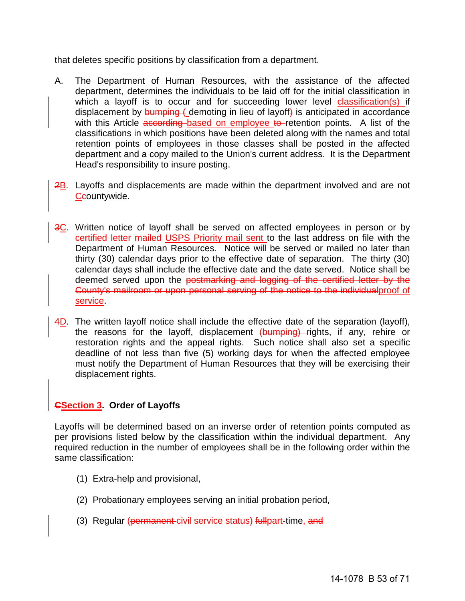that deletes specific positions by classification from a department.

- A. The Department of Human Resources, with the assistance of the affected department, determines the individuals to be laid off for the initial classification in which a layoff is to occur and for succeeding lower level classification(s) if displacement by bumping ( demoting in lieu of layoff) is anticipated in accordance with this Article according based on employee to retention points. A list of the classifications in which positions have been deleted along with the names and total retention points of employees in those classes shall be posted in the affected department and a copy mailed to the Union's current address. It is the Department Head's responsibility to insure posting.
- 2B. Layoffs and displacements are made within the department involved and are not Ceountywide.
- 3C. Written notice of layoff shall be served on affected employees in person or by certified letter mailed USPS Priority mail sent to the last address on file with the Department of Human Resources. Notice will be served or mailed no later than thirty (30) calendar days prior to the effective date of separation. The thirty (30) calendar days shall include the effective date and the date served. Notice shall be deemed served upon the postmarking and logging of the certified letter by the County's mailroom or upon personal serving of the notice to the individualproof of service.
- 4D. The written layoff notice shall include the effective date of the separation (layoff), the reasons for the layoff, displacement (bumping) rights, if any, rehire or restoration rights and the appeal rights. Such notice shall also set a specific deadline of not less than five (5) working days for when the affected employee must notify the Department of Human Resources that they will be exercising their displacement rights.

## <span id="page-52-0"></span>**CSection 3. Order of Layoffs**

Layoffs will be determined based on an inverse order of retention points computed as per provisions listed below by the classification within the individual department. Any required reduction in the number of employees shall be in the following order within the same classification:

- (1) Extra-help and provisional,
- (2) Probationary employees serving an initial probation period,
- (3) Regular (permanent-civil service status) fullpart-time, and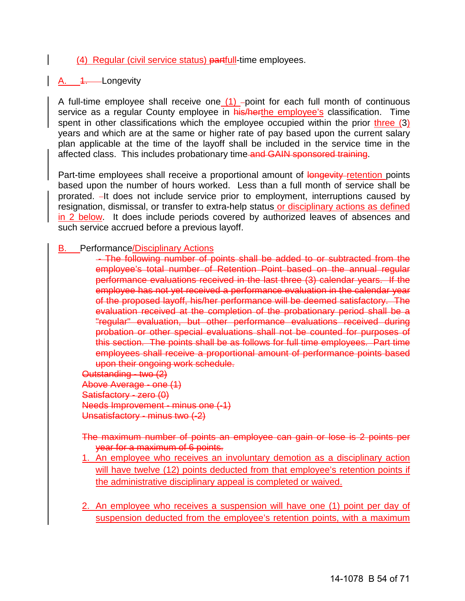## (4) Regular (civil service status) partfull-time employees.

## A. <del>1.</del> Longevity

A full-time employee shall receive one  $(1)$  -point for each full month of continuous service as a regular County employee in his/herthe employee's classification. Time spent in other classifications which the employee occupied within the prior three (3) years and which are at the same or higher rate of pay based upon the current salary plan applicable at the time of the layoff shall be included in the service time in the affected class. This includes probationary time and GAIN sponsored training.

Part-time employees shall receive a proportional amount of longevity retention points based upon the number of hours worked. Less than a full month of service shall be prorated. It does not include service prior to employment, interruptions caused by resignation, dismissal, or transfer to extra-help status or disciplinary actions as defined in 2 below. It does include periods covered by authorized leaves of absences and such service accrued before a previous layoff.

## B. Performance/Disciplinary Actions

- The following number of points shall be added to or subtracted from the employee's total number of Retention Point based on the annual regular performance evaluations received in the last three (3) calendar years. If the employee has not yet received a performance evaluation in the calendar year of the proposed layoff, his/her performance will be deemed satisfactory. The evaluation received at the completion of the probationary period shall be a "regular" evaluation, but other performance evaluations received during probation or other special evaluations shall not be counted for purposes of this section. The points shall be as follows for full time employees. Part time employees shall receive a proportional amount of performance points based upon their ongoing work schedule.

Outstanding - two (2)

Above Average - one (1) Satisfactory - zero (0) Needs Improvement - minus one (-1) Unsatisfactory - minus two (-2)

The maximum number of points an employee can gain or lose is 2 points per year for a maximum of 6 points.

- 1. An employee who receives an involuntary demotion as a disciplinary action will have twelve (12) points deducted from that employee's retention points if the administrative disciplinary appeal is completed or waived.
- 2. An employee who receives a suspension will have one (1) point per day of suspension deducted from the employee's retention points, with a maximum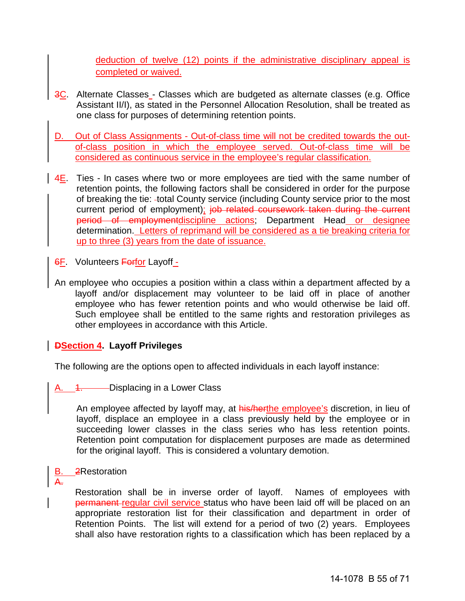deduction of twelve (12) points if the administrative disciplinary appeal is completed or waived.

- 3C. Alternate Classes Classes which are budgeted as alternate classes (e.g. Office Assistant II/I), as stated in the Personnel Allocation Resolution, shall be treated as one class for purposes of determining retention points.
- D. Out of Class Assignments Out-of-class time will not be credited towards the outof-class position in which the employee served. Out-of-class time will be considered as continuous service in the employee's regular classification.
- $4E$ . Ties In cases where two or more employees are tied with the same number of retention points, the following factors shall be considered in order for the purpose of breaking the tie: total County service (including County service prior to the most current period of employment); job related coursework taken during the current period of employmentdiscipline actions; Department Head or designee determination. Letters of reprimand will be considered as a tie breaking criteria for up to three (3) years from the date of issuance.
- 6F. Volunteers Forfor Layoff -
- An employee who occupies a position within a class within a department affected by a layoff and/or displacement may volunteer to be laid off in place of another employee who has fewer retention points and who would otherwise be laid off. Such employee shall be entitled to the same rights and restoration privileges as other employees in accordance with this Article.

## <span id="page-54-0"></span>**DSection 4. Layoff Privileges**

The following are the options open to affected individuals in each layoff instance:

# -Displacing in a Lower Class

An employee affected by layoff may, at his/herthe employee's discretion, in lieu of layoff, displace an employee in a class previously held by the employee or in succeeding lower classes in the class series who has less retention points. Retention point computation for displacement purposes are made as determined for the original layoff. This is considered a voluntary demotion.

## **2Restoration**

A.

 Restoration shall be in inverse order of layoff. Names of employees with permanent regular civil service status who have been laid off will be placed on an appropriate restoration list for their classification and department in order of Retention Points. The list will extend for a period of two (2) years. Employees shall also have restoration rights to a classification which has been replaced by a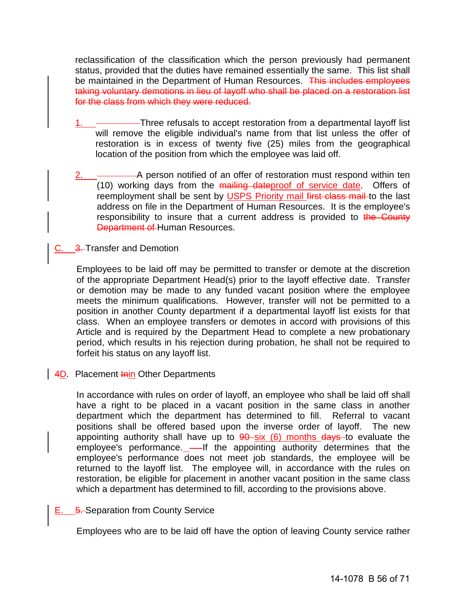reclassification of the classification which the person previously had permanent status, provided that the duties have remained essentially the same. This list shall be maintained in the Department of Human Resources. This includes employees taking voluntary demotions in lieu of layoff who shall be placed on a restoration list for the class from which they were reduced.

- -Three refusals to accept restoration from a departmental layoff list will remove the eligible individual's name from that list unless the offer of restoration is in excess of twenty five (25) miles from the geographical location of the position from which the employee was laid off.
- A person notified of an offer of restoration must respond within ten (10) working days from the mailing dateproof of service date. Offers of reemployment shall be sent by USPS Priority mail first class mail to the last address on file in the Department of Human Resources. It is the employee's responsibility to insure that a current address is provided to the County **Department of Human Resources.**

#### 3. Transfer and Demotion

Employees to be laid off may be permitted to transfer or demote at the discretion of the appropriate Department Head(s) prior to the layoff effective date. Transfer or demotion may be made to any funded vacant position where the employee meets the minimum qualifications. However, transfer will not be permitted to a position in another County department if a departmental layoff list exists for that class. When an employee transfers or demotes in accord with provisions of this Article and is required by the Department Head to complete a new probationary period, which results in his rejection during probation, he shall not be required to forfeit his status on any layoff list.

#### 4D. Placement *Inin* Other Departments

In accordance with rules on order of layoff, an employee who shall be laid off shall have a right to be placed in a vacant position in the same class in another department which the department has determined to fill. Referral to vacant positions shall be offered based upon the inverse order of layoff. The new appointing authority shall have up to  $90$ -six  $(6)$  months days to evaluate the employee's performance. —If the appointing authority determines that the employee's performance does not meet job standards, the employee will be returned to the layoff list. The employee will, in accordance with the rules on restoration, be eligible for placement in another vacant position in the same class which a department has determined to fill, according to the provisions above.

# 5. Separation from County Service

Employees who are to be laid off have the option of leaving County service rather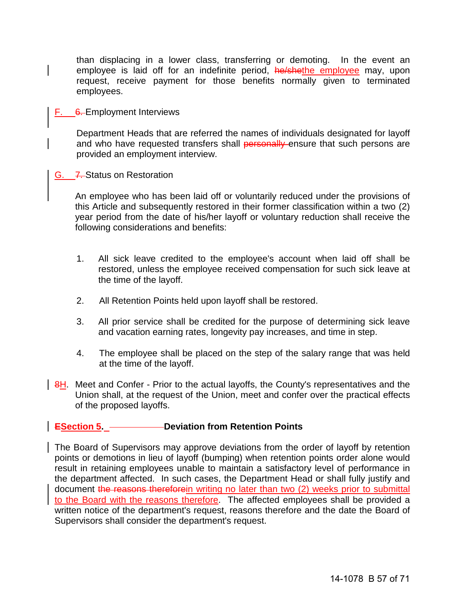than displacing in a lower class, transferring or demoting. In the event an employee is laid off for an indefinite period, he/shethe employee may, upon request, receive payment for those benefits normally given to terminated employees.

#### F. 6. Employment Interviews

Department Heads that are referred the names of individuals designated for layoff and who have requested transfers shall personally ensure that such persons are provided an employment interview.

#### G. 7. Status on Restoration

 An employee who has been laid off or voluntarily reduced under the provisions of this Article and subsequently restored in their former classification within a two (2) year period from the date of his/her layoff or voluntary reduction shall receive the following considerations and benefits:

- 1. All sick leave credited to the employee's account when laid off shall be restored, unless the employee received compensation for such sick leave at the time of the layoff.
- 2. All Retention Points held upon layoff shall be restored.
- 3. All prior service shall be credited for the purpose of determining sick leave and vacation earning rates, longevity pay increases, and time in step.
- 4. The employee shall be placed on the step of the salary range that was held at the time of the layoff.
- 8H. Meet and Confer Prior to the actual layoffs, the County's representatives and the Union shall, at the request of the Union, meet and confer over the practical effects of the proposed layoffs.

#### <span id="page-56-0"></span>**ESection 5. \_\_\_\_\_\_\_\_\_Deviation from Retention Points**

The Board of Supervisors may approve deviations from the order of layoff by retention points or demotions in lieu of layoff (bumping) when retention points order alone would result in retaining employees unable to maintain a satisfactory level of performance in the department affected. In such cases, the Department Head or shall fully justify and document the reasons thereforein writing no later than two (2) weeks prior to submittal to the Board with the reasons therefore. The affected employees shall be provided a written notice of the department's request, reasons therefore and the date the Board of Supervisors shall consider the department's request.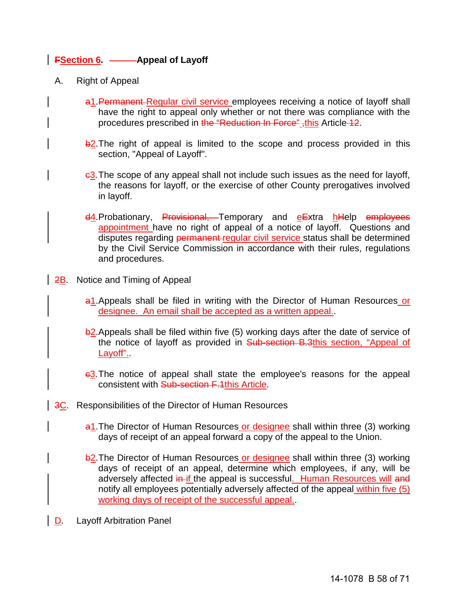# <span id="page-57-0"></span>**FSection 6. ———Appeal of Layoff**

- A. Right of Appeal
	- a1. Permanent Regular civil service employees receiving a notice of layoff shall have the right to appeal only whether or not there was compliance with the procedures prescribed in the "Reduction In Force" -this Article 12.
	- $b2$ . The right of appeal is limited to the scope and process provided in this section, "Appeal of Layoff".
	- $\frac{c3}{2}$ . The scope of any appeal shall not include such issues as the need for layoff, the reasons for layoff, or the exercise of other County prerogatives involved in layoff.
	- d4. Probationary, Provisional, Temporary and eExtra hHelp employees appointment have no right of appeal of a notice of layoff. Questions and disputes regarding permanent regular civil service status shall be determined by the Civil Service Commission in accordance with their rules, regulations and procedures.
- **2B.** Notice and Timing of Appeal
	- a1. Appeals shall be filed in writing with the Director of Human Resources or designee. An email shall be accepted as a written appeal..
	- $\frac{1}{2}$ . Appeals shall be filed within five (5) working days after the date of service of the notice of layoff as provided in Sub-section B.3this section, "Appeal of Layoff"..
	- $63$ . The notice of appeal shall state the employee's reasons for the appeal consistent with Sub-section F.1this Article.
- **3C.** Responsibilities of the Director of Human Resources
	- a1. The Director of Human Resources or designee shall within three (3) working days of receipt of an appeal forward a copy of the appeal to the Union.
	- b2. The Director of Human Resources or designee shall within three (3) working days of receipt of an appeal, determine which employees, if any, will be adversely affected in if the appeal is successful. Human Resources will and notify all employees potentially adversely affected of the appeal within five (5) working days of receipt of the successful appeal..
- D. Layoff Arbitration Panel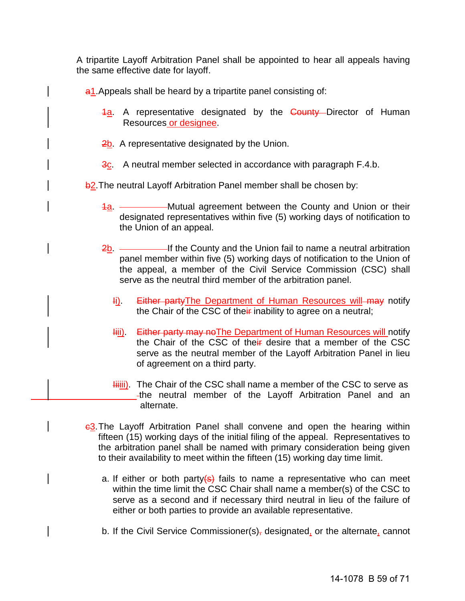A tripartite Layoff Arbitration Panel shall be appointed to hear all appeals having the same effective date for layoff.

a<sup>1</sup>. Appeals shall be heard by a tripartite panel consisting of:

- 4a. A representative designated by the County Director of Human Resources or designee.
- 2b. A representative designated by the Union.
- 3<sub>C</sub>. A neutral member selected in accordance with paragraph F.4.b.

**b2.** The neutral Layoff Arbitration Panel member shall be chosen by:

- 1a. Mutual agreement between the County and Union or their designated representatives within five (5) working days of notification to the Union of an appeal.
- 2b. If the County and the Union fail to name a neutral arbitration panel member within five (5) working days of notification to the Union of the appeal, a member of the Civil Service Commission (CSC) shall serve as the neutral third member of the arbitration panel.
	- Ii). Either partyThe Department of Human Resources will may notify the Chair of the CSC of their inability to agree on a neutral;
	- Hij) Either party may no The Department of Human Resources will notify the Chair of the CSC of their desire that a member of the CSC serve as the neutral member of the Layoff Arbitration Panel in lieu of agreement on a third party.
	- $\frac{1}{11}$ iiii). The Chair of the CSC shall name a member of the CSC to serve as the neutral member of the Layoff Arbitration Panel and an alternate.
- $-63$ . The Layoff Arbitration Panel shall convene and open the hearing within fifteen (15) working days of the initial filing of the appeal. Representatives to the arbitration panel shall be named with primary consideration being given to their availability to meet within the fifteen (15) working day time limit.
	- a. If either or both party $\left\langle s\right\rangle$  fails to name a representative who can meet within the time limit the CSC Chair shall name a member(s) of the CSC to serve as a second and if necessary third neutral in lieu of the failure of either or both parties to provide an available representative.
	- b. If the Civil Service Commissioner(s), designated, or the alternate, cannot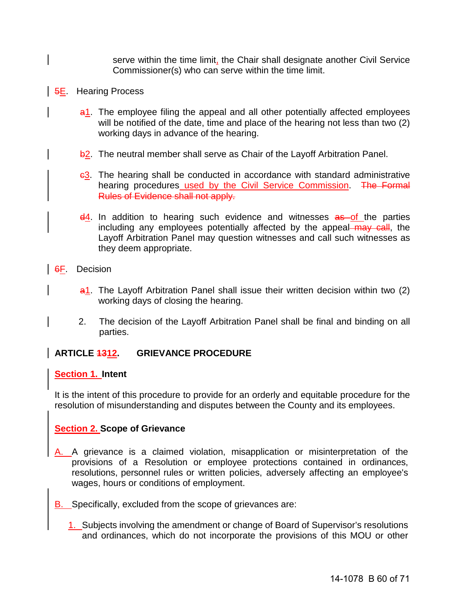serve within the time limit, the Chair shall designate another Civil Service Commissioner(s) who can serve within the time limit.

#### **5E.** Hearing Process

- a<sup>1</sup>. The employee filing the appeal and all other potentially affected employees will be notified of the date, time and place of the hearing not less than two (2) working days in advance of the hearing.
- b<sup>2</sup>. The neutral member shall serve as Chair of the Layoff Arbitration Panel.
- $-63$ . The hearing shall be conducted in accordance with standard administrative hearing procedures used by the Civil Service Commission. The Formal Rules of Evidence shall not apply.
- d<sup>4</sup>. In addition to hearing such evidence and witnesses as of the parties including any employees potentially affected by the appeal may call, the Layoff Arbitration Panel may question witnesses and call such witnesses as they deem appropriate.
- **6F** Decision
	- a<sup>1</sup>. The Layoff Arbitration Panel shall issue their written decision within two (2) working days of closing the hearing.
	- 2. The decision of the Layoff Arbitration Panel shall be final and binding on all parties.

## <span id="page-59-0"></span>**ARTICLE 1312. GRIEVANCE PROCEDURE**

#### **Section 1. Intent**

It is the intent of this procedure to provide for an orderly and equitable procedure for the resolution of misunderstanding and disputes between the County and its employees.

#### **Section 2. Scope of Grievance**

- A. A grievance is a claimed violation, misapplication or misinterpretation of the provisions of a Resolution or employee protections contained in ordinances, resolutions, personnel rules or written policies, adversely affecting an employee's wages, hours or conditions of employment.
- B. Specifically, excluded from the scope of grievances are:
	- 1. Subjects involving the amendment or change of Board of Supervisor's resolutions and ordinances, which do not incorporate the provisions of this MOU or other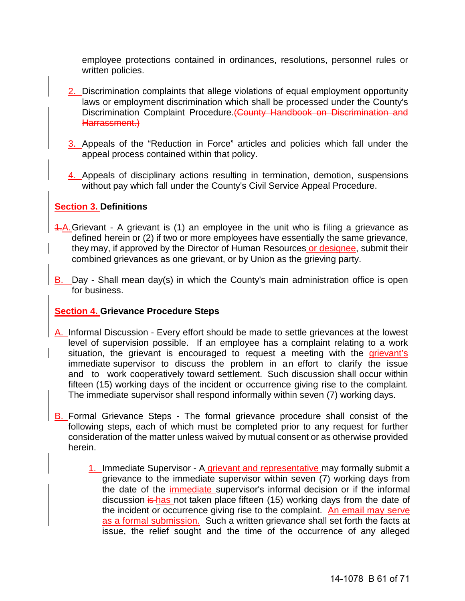employee protections contained in ordinances, resolutions, personnel rules or written policies.

- 2. Discrimination complaints that allege violations of equal employment opportunity laws or employment discrimination which shall be processed under the County's Discrimination Complaint Procedure. (County Handbook on Discrimination and Harrassment.)
- 3. Appeals of the "Reduction in Force" articles and policies which fall under the appeal process contained within that policy.
- 4. Appeals of disciplinary actions resulting in termination, demotion, suspensions without pay which fall under the County's Civil Service Appeal Procedure.

## **Section 3. Definitions**

- 1.A.Grievant A grievant is (1) an employee in the unit who is filing a grievance as defined herein or (2) if two or more employees have essentially the same grievance, they may, if approved by the Director of Human Resources or designee, submit their combined grievances as one grievant, or by Union as the grieving party.
- B. Day Shall mean day(s) in which the County's main administration office is open for business.

## **Section 4. Grievance Procedure Steps**

- A. Informal Discussion Every effort should be made to settle grievances at the lowest level of supervision possible. If an employee has a complaint relating to a work situation, the grievant is encouraged to request a meeting with the *grievant's* immediate supervisor to discuss the problem in an effort to clarify the issue and to work cooperatively toward settlement. Such discussion shall occur within fifteen (15) working days of the incident or occurrence giving rise to the complaint. The immediate supervisor shall respond informally within seven (7) working days.
- B. Formal Grievance Steps The formal grievance procedure shall consist of the following steps, each of which must be completed prior to any request for further consideration of the matter unless waived by mutual consent or as otherwise provided herein.
	- 1. Immediate Supervisor A grievant and representative may formally submit a grievance to the immediate supervisor within seven (7) working days from the date of the immediate supervisor's informal decision or if the informal discussion is has not taken place fifteen (15) working days from the date of the incident or occurrence giving rise to the complaint. An email may serve as a formal submission. Such a written grievance shall set forth the facts at issue, the relief sought and the time of the occurrence of any alleged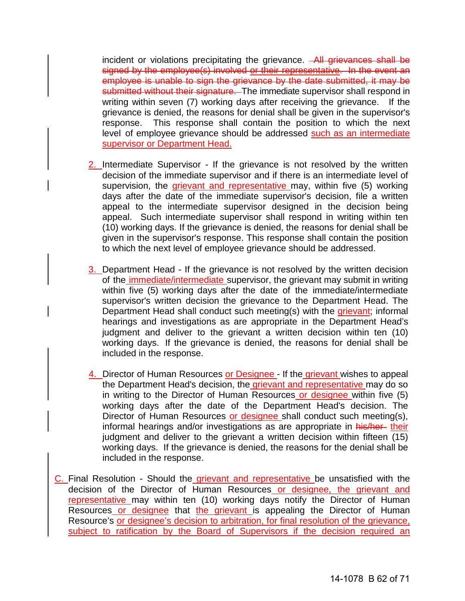incident or violations precipitating the grievance. All grievances shall be signed by the employee(s) involved or their representative. In the event an employee is unable to sign the grievance by the date submitted, it may be submitted without their signature. The immediate supervisor shall respond in writing within seven (7) working days after receiving the grievance. If the grievance is denied, the reasons for denial shall be given in the supervisor's response. This response shall contain the position to which the next level of employee grievance should be addressed such as an intermediate supervisor or Department Head.

- 2. Intermediate Supervisor If the grievance is not resolved by the written decision of the immediate supervisor and if there is an intermediate level of supervision, the grievant and representative may, within five (5) working days after the date of the immediate supervisor's decision, file a written appeal to the intermediate supervisor designed in the decision being appeal. Such intermediate supervisor shall respond in writing within ten (10) working days. If the grievance is denied, the reasons for denial shall be given in the supervisor's response. This response shall contain the position to which the next level of employee grievance should be addressed.
- 3. Department Head If the grievance is not resolved by the written decision of the immediate/intermediate supervisor, the grievant may submit in writing within five (5) working days after the date of the immediate/intermediate supervisor's written decision the grievance to the Department Head. The Department Head shall conduct such meeting(s) with the grievant; informal hearings and investigations as are appropriate in the Department Head's judgment and deliver to the grievant a written decision within ten (10) working days. If the grievance is denied, the reasons for denial shall be included in the response.
- 4. Director of Human Resources or Designee If the grievant wishes to appeal the Department Head's decision, the grievant and representative may do so in writing to the Director of Human Resources or designee within five (5) working days after the date of the Department Head's decision. The Director of Human Resources or designee shall conduct such meeting(s), informal hearings and/or investigations as are appropriate in his/her their judgment and deliver to the grievant a written decision within fifteen (15) working days. If the grievance is denied, the reasons for the denial shall be included in the response.
- C. Final Resolution Should the grievant and representative be unsatisfied with the decision of the Director of Human Resources or designee, the grievant and representative may within ten (10) working days notify the Director of Human Resources or designee that the grievant is appealing the Director of Human Resource's or designee's decision to arbitration, for final resolution of the grievance, subject to ratification by the Board of Supervisors if the decision required an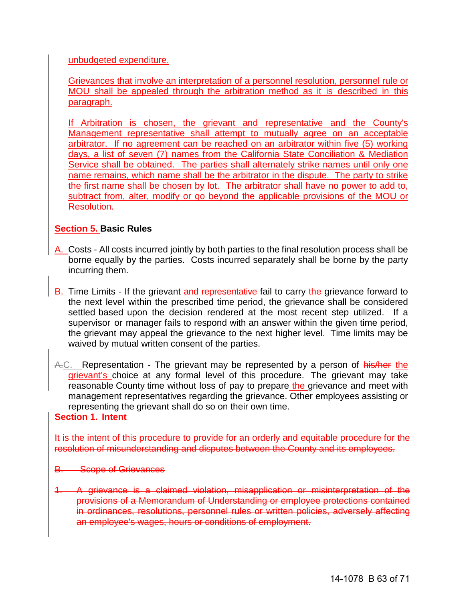unbudgeted expenditure.

Grievances that involve an interpretation of a personnel resolution, personnel rule or MOU shall be appealed through the arbitration method as it is described in this paragraph.

If Arbitration is chosen, the grievant and representative and the County's Management representative shall attempt to mutually agree on an acceptable arbitrator. If no agreement can be reached on an arbitrator within five (5) working days, a list of seven (7) names from the California State Conciliation & Mediation Service shall be obtained. The parties shall alternately strike names until only one name remains, which name shall be the arbitrator in the dispute. The party to strike the first name shall be chosen by lot. The arbitrator shall have no power to add to, subtract from, alter, modify or go beyond the applicable provisions of the MOU or Resolution.

## **Section 5. Basic Rules**

- A. Costs All costs incurred jointly by both parties to the final resolution process shall be borne equally by the parties. Costs incurred separately shall be borne by the party incurring them.
- B. Time Limits If the grievant and representative fail to carry the grievance forward to the next level within the prescribed time period, the grievance shall be considered settled based upon the decision rendered at the most recent step utilized. If a supervisor or manager fails to respond with an answer within the given time period, the grievant may appeal the grievance to the next higher level. Time limits may be waived by mutual written consent of the parties.
- A.C. Representation The grievant may be represented by a person of his/her the grievant's choice at any formal level of this procedure. The grievant may take reasonable County time without loss of pay to prepare the grievance and meet with management representatives regarding the grievance. Other employees assisting or representing the grievant shall do so on their own time.

# **Section 1. Intent**

It is the intent of this procedure to provide for an orderly and equitable procedure for the resolution of misunderstanding and disputes between the County and its employees.

- **Scope of Grievances**
- 1. A grievance is a claimed violation, misapplication or misinterpretation of the provisions of a Memorandum of Understanding or employee protections contained in ordinances, resolutions, personnel rules or written policies, adversely affecting an employee's wages, hours or conditions of employment.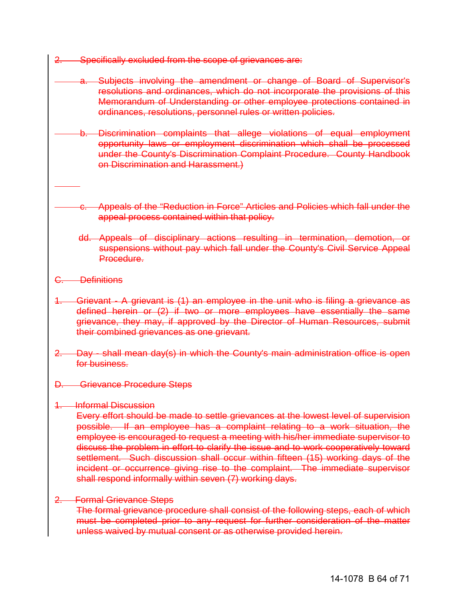- 2. Specifically excluded from the scope of grievances are:
	- Subjects involving the amendment or change of Board of Supervisor's resolutions and ordinances, which do not incorporate the provisions of this Memorandum of Understanding or other employee protections contained in ordinances, resolutions, personnel rules or written policies.
	- b. Discrimination complaints that allege violations of equal employment opportunity laws or employment discrimination which shall be processed under the County's Discrimination Complaint Procedure. County Handbook on Discrimination and Harassment.)
	- Appeals of the "Reduction in Force" Articles and Policies which fall under the appeal process contained within that policy.
		- dd. Appeals of disciplinary actions resulting in termination, demotion, or suspensions without pay which fall under the County's Civil Service Appeal Procedure.
- C. Definitions

 $\overline{a}$ 

- Grievant A grievant is (1) an employee in the unit who is filing a grievance as defined herein or (2) if two or more employees have essentially the same grievance, they may, if approved by the Director of Human Resources, submit their combined grievances as one grievant.
- 2. Day shall mean day(s) in which the County's main administration office is open for business.
- D. Grievance Procedure Steps
- 1. Informal Discussion

Every effort should be made to settle grievances at the lowest level of supervision possible. If an employee has a complaint relating to a work situation, the employee is encouraged to request a meeting with his/her immediate supervisor to discuss the problem in effort to clarify the issue and to work cooperatively toward settlement. Such discussion shall occur within fifteen (15) working days of the incident or occurrence giving rise to the complaint. The immediate supervisor shall respond informally within seven (7) working days.

2. Formal Grievance Steps

The formal grievance procedure shall consist of the following steps, each of which must be completed prior to any request for further consideration of the matter unless waived by mutual consent or as otherwise provided herein.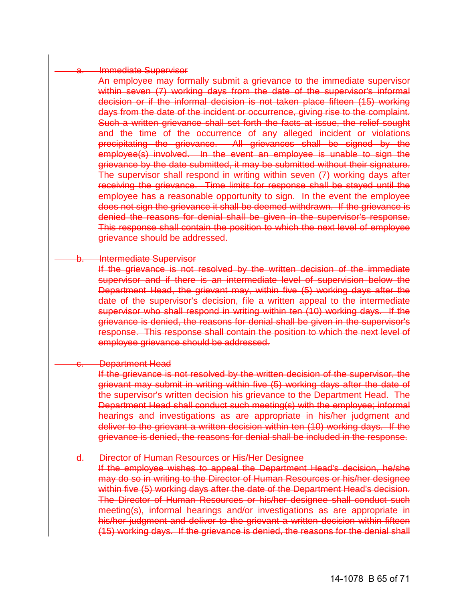#### **Immediate Supervisor**

An employee may formally submit a grievance to the immediate supervisor within seven (7) working days from the date of the supervisor's informal decision or if the informal decision is not taken place fifteen (15) working days from the date of the incident or occurrence, giving rise to the complaint. Such a written grievance shall set forth the facts at issue, the relief sought and the time of the occurrence of any alleged incident or violations precipitating the grievance. All grievances shall be signed by the employee(s) involved. In the event an employee is unable to sign the grievance by the date submitted, it may be submitted without their signature. The supervisor shall respond in writing within seven (7) working days after receiving the grievance. Time limits for response shall be stayed until the employee has a reasonable opportunity to sign. In the event the employee does not sign the grievance it shall be deemed withdrawn. If the grievance is denied the reasons for denial shall be given in the supervisor's response. This response shall contain the position to which the next level of employee grievance should be addressed.

#### **Intermediate Supervisor**

If the grievance is not resolved by the written decision of the immediate supervisor and if there is an intermediate level of supervision below the Department Head, the grievant may, within five (5) working days after the date of the supervisor's decision, file a written appeal to the intermediate supervisor who shall respond in writing within ten (10) working days. If the grievance is denied, the reasons for denial shall be given in the supervisor's response. This response shall contain the position to which the next level of employee grievance should be addressed.

#### **Department Head**

If the grievance is not resolved by the written decision of the supervisor, the grievant may submit in writing within five (5) working days after the date of the supervisor's written decision his grievance to the Department Head. The Department Head shall conduct such meeting(s) with the employee; informal hearings and investigations as are appropriate in his/her judgment and deliver to the grievant a written decision within ten (10) working days. If the grievance is denied, the reasons for denial shall be included in the response.

#### Director of Human Resources or His/Her Designee

If the employee wishes to appeal the Department Head's decision, he/she may do so in writing to the Director of Human Resources or his/her designee within five (5) working days after the date of the Department Head's decision. The Director of Human Resources or his/her designee shall conduct such meeting(s), informal hearings and/or investigations as are appropriate in his/her judgment and deliver to the grievant a written decision within fifteen (15) working days. If the grievance is denied, the reasons for the denial shall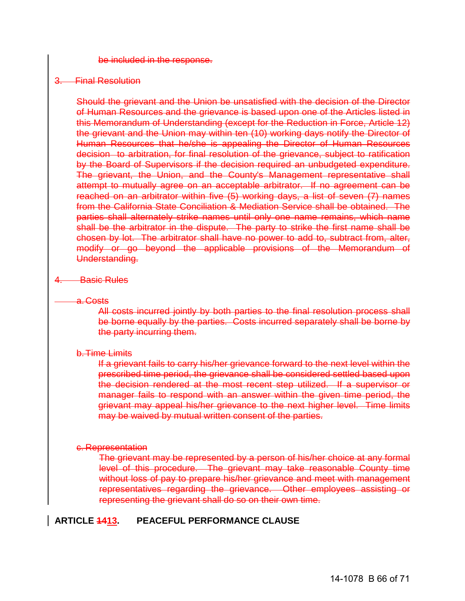#### be included in the response.

#### 3. Final Resolution

Should the grievant and the Union be unsatisfied with the decision of the Director of Human Resources and the grievance is based upon one of the Articles listed in this Memorandum of Understanding (except for the Reduction in Force, Article 12) the grievant and the Union may within ten (10) working days notify the Director of Human Resources that he/she is appealing the Director of Human Resources decision to arbitration, for final resolution of the grievance, subject to ratification by the Board of Supervisors if the decision required an unbudgeted expenditure. The grievant, the Union, and the County's Management representative shall attempt to mutually agree on an acceptable arbitrator. If no agreement can be reached on an arbitrator within five (5) working days, a list of seven (7) names from the California State Conciliation & Mediation Service shall be obtained. The parties shall alternately strike names until only one name remains, which name shall be the arbitrator in the dispute. The party to strike the first name shall be chosen by lot. The arbitrator shall have no power to add to, subtract from, alter, modify or go beyond the applicable provisions of the Memorandum of Understanding.

#### **Basic Rules**

a.Costs

All costs incurred jointly by both parties to the final resolution process shall be borne equally by the parties. Costs incurred separately shall be borne by the party incurring them.

#### b.Time Limits

If a grievant fails to carry his/her grievance forward to the next level within the prescribed time period, the grievance shall be considered settled based upon the decision rendered at the most recent step utilized. If a supervisor or manager fails to respond with an answer within the given time period, the grievant may appeal his/her grievance to the next higher level. Time limits may be waived by mutual written consent of the parties.

#### c. Representation

The grievant may be represented by a person of his/her choice at any formal level of this procedure. The grievant may take reasonable County time without loss of pay to prepare his/her grievance and meet with management representatives regarding the grievance. Other employees assisting or representing the grievant shall do so on their own time.

## <span id="page-65-0"></span>**ARTICLE 1413. PEACEFUL PERFORMANCE CLAUSE**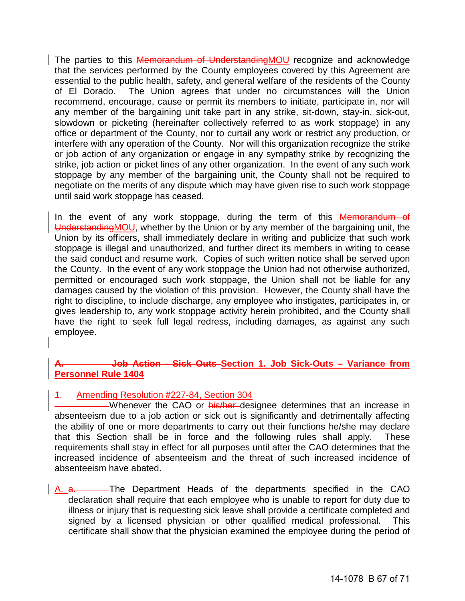The parties to this **Memorandum of Understanding MOU** recognize and acknowledge that the services performed by the County employees covered by this Agreement are essential to the public health, safety, and general welfare of the residents of the County of El Dorado. The Union agrees that under no circumstances will the Union recommend, encourage, cause or permit its members to initiate, participate in, nor will any member of the bargaining unit take part in any strike, sit-down, stay-in, sick-out, slowdown or picketing (hereinafter collectively referred to as work stoppage) in any office or department of the County, nor to curtail any work or restrict any production, or interfere with any operation of the County. Nor will this organization recognize the strike or job action of any organization or engage in any sympathy strike by recognizing the strike, job action or picket lines of any other organization. In the event of any such work stoppage by any member of the bargaining unit, the County shall not be required to negotiate on the merits of any dispute which may have given rise to such work stoppage until said work stoppage has ceased.

In the event of any work stoppage, during the term of this Memorandum of UnderstandingMOU, whether by the Union or by any member of the bargaining unit, the Union by its officers, shall immediately declare in writing and publicize that such work stoppage is illegal and unauthorized, and further direct its members in writing to cease the said conduct and resume work. Copies of such written notice shall be served upon the County. In the event of any work stoppage the Union had not otherwise authorized, permitted or encouraged such work stoppage, the Union shall not be liable for any damages caused by the violation of this provision. However, the County shall have the right to discipline, to include discharge, any employee who instigates, participates in, or gives leadership to, any work stoppage activity herein prohibited, and the County shall have the right to seek full legal redress, including damages, as against any such employee.

## <span id="page-66-0"></span>**A. Job Action - Sick Outs-Section 1. Job Sick-Outs - Variance from Personnel Rule 1404**

## 1. Amending Resolution #227-84, Section 304

Whenever the CAO or his/her-designee determines that an increase in absenteeism due to a job action or sick out is significantly and detrimentally affecting the ability of one or more departments to carry out their functions he/she may declare that this Section shall be in force and the following rules shall apply. These requirements shall stay in effect for all purposes until after the CAO determines that the increased incidence of absenteeism and the threat of such increased incidence of absenteeism have abated.

A. a. The Department Heads of the departments specified in the CAO declaration shall require that each employee who is unable to report for duty due to illness or injury that is requesting sick leave shall provide a certificate completed and signed by a licensed physician or other qualified medical professional. This certificate shall show that the physician examined the employee during the period of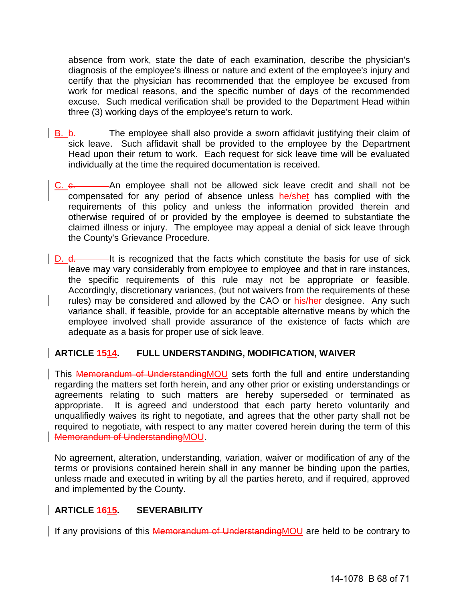absence from work, state the date of each examination, describe the physician's diagnosis of the employee's illness or nature and extent of the employee's injury and certify that the physician has recommended that the employee be excused from work for medical reasons, and the specific number of days of the recommended excuse. Such medical verification shall be provided to the Department Head within three (3) working days of the employee's return to work.

- $\overline{B. b.}$   $\overline{B.}$  The employee shall also provide a sworn affidavit justifying their claim of sick leave. Such affidavit shall be provided to the employee by the Department Head upon their return to work. Each request for sick leave time will be evaluated individually at the time the required documentation is received.
	- C. e. An employee shall not be allowed sick leave credit and shall not be compensated for any period of absence unless he/shet has complied with the requirements of this policy and unless the information provided therein and otherwise required of or provided by the employee is deemed to substantiate the claimed illness or injury. The employee may appeal a denial of sick leave through the County's Grievance Procedure.
- D. d. It is recognized that the facts which constitute the basis for use of sick leave may vary considerably from employee to employee and that in rare instances, the specific requirements of this rule may not be appropriate or feasible. Accordingly, discretionary variances, (but not waivers from the requirements of these rules) may be considered and allowed by the CAO or his/her-designee. Any such variance shall, if feasible, provide for an acceptable alternative means by which the employee involved shall provide assurance of the existence of facts which are adequate as a basis for proper use of sick leave.

## <span id="page-67-0"></span>**ARTICLE 1514. FULL UNDERSTANDING, MODIFICATION, WAIVER**

This Memorandum of UnderstandingMOU sets forth the full and entire understanding regarding the matters set forth herein, and any other prior or existing understandings or agreements relating to such matters are hereby superseded or terminated as appropriate. It is agreed and understood that each party hereto voluntarily and unqualifiedly waives its right to negotiate, and agrees that the other party shall not be required to negotiate, with respect to any matter covered herein during the term of this Memorandum of UnderstandingMOU.

No agreement, alteration, understanding, variation, waiver or modification of any of the terms or provisions contained herein shall in any manner be binding upon the parties, unless made and executed in writing by all the parties hereto, and if required, approved and implemented by the County.

# <span id="page-67-1"></span>**ARTICLE 1615. SEVERABILITY**

If any provisions of this Memorandum of UnderstandingMOU are held to be contrary to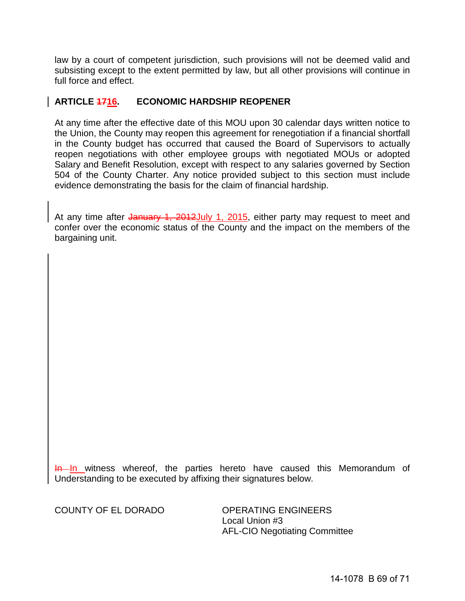law by a court of competent jurisdiction, such provisions will not be deemed valid and subsisting except to the extent permitted by law, but all other provisions will continue in full force and effect.

## <span id="page-68-0"></span>**ARTICLE 1716. ECONOMIC HARDSHIP REOPENER**

At any time after the effective date of this MOU upon 30 calendar days written notice to the Union, the County may reopen this agreement for renegotiation if a financial shortfall in the County budget has occurred that caused the Board of Supervisors to actually reopen negotiations with other employee groups with negotiated MOUs or adopted Salary and Benefit Resolution, except with respect to any salaries governed by Section 504 of the County Charter. Any notice provided subject to this section must include evidence demonstrating the basis for the claim of financial hardship.

At any time after January 1, 2012July 1, 2015, either party may request to meet and confer over the economic status of the County and the impact on the members of the bargaining unit.

In In witness whereof, the parties hereto have caused this Memorandum of Understanding to be executed by affixing their signatures below.

COUNTY OF EL DORADO OPERATING ENGINEERS Local Union #3 AFL-CIO Negotiating Committee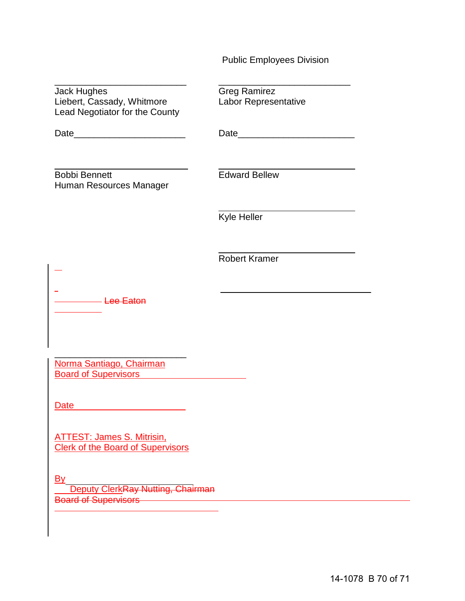Public Employees Division

\_\_\_\_\_\_\_\_\_\_\_\_\_\_\_\_\_\_\_\_\_\_\_\_\_\_ \_\_\_\_\_\_\_\_\_\_\_\_\_\_\_\_\_\_\_\_\_\_\_\_\_\_ Jack Hughes<br>
Liebert, Cassady, Whitmore **Greet Cassady, Whitmore** Labor Representative Liebert, Cassady, Whitmore Lead Negotiator for the County

Date\_\_\_\_\_\_\_\_\_\_\_\_\_\_\_\_\_\_\_\_\_\_ Date\_\_\_\_\_\_\_\_\_\_\_\_\_\_\_\_\_\_\_\_\_\_\_

Bobbi Bennett **Edward Bellew** Human Resources Manager

i<br>L

Kyle Heller

Robert Kramer

Lee Eaton

\_\_\_\_\_\_\_\_\_\_\_\_\_\_\_\_\_\_\_\_\_\_\_\_\_\_ Norma Santiago, Chairman Board of Supervisors

Date\_\_\_\_\_\_\_\_\_\_\_\_\_\_\_\_\_\_\_\_\_\_

 $\overline{a}$ 

 $\equiv$ 

 $\overline{a}$ 

ATTEST: James S. Mitrisin, Clerk of the Board of Supervisors

<u>By</u>

**Deputy ClerkRay Nutting, Chairman** Board of Supervisors **Example 20**